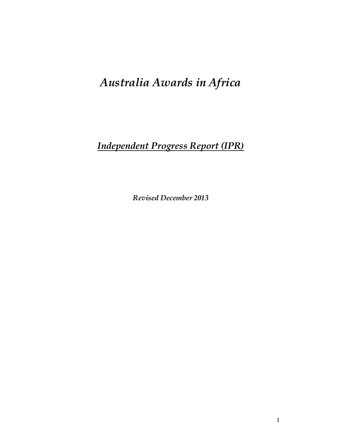# *Australia Awards in Africa*

# *Independent Progress Report (IPR)*

*Revised December 2013*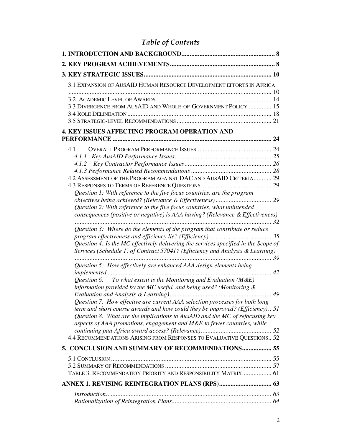# *Table of Contents*

| 3.1 EXPANSION OF AUSAID HUMAN RESOURCE DEVELOPMENT EFFORTS IN AFRICA                |
|-------------------------------------------------------------------------------------|
|                                                                                     |
| 3.3 DIVERGENCE FROM AUSAID AND WHOLE-OF-GOVERNMENT POLICY  15                       |
|                                                                                     |
|                                                                                     |
| 4. KEY ISSUES AFFECTING PROGRAM OPERATION AND                                       |
|                                                                                     |
| 4.1                                                                                 |
|                                                                                     |
|                                                                                     |
|                                                                                     |
| 4.2 ASSESSMENT OF THE PROGRAM AGAINST DAC AND AUSAID CRITERIA 29                    |
|                                                                                     |
| Question 1: With reference to the five focus countries, are the program             |
|                                                                                     |
| Question 2: With reference to the five focus countries, what unintended             |
| consequences (positive or negative) is AAA having? (Relevance & Effectiveness)      |
| Question 3: Where do the elements of the program that contribute or reduce          |
|                                                                                     |
| Question 4: Is the MC effectively delivering the services specified in the Scope of |
| Services (Schedule 1) of Contract 57041? (Efficiency and Analysis & Learning)       |
| Question 5: How effectively are enhanced AAA design elements being                  |
| Question 6. To what extent is the Monitoring and Evaluation ( $M \& E$ )            |
| information provided by the MC useful, and being used? (Monitoring $\&$             |
|                                                                                     |
| Question 7. How effective are current AAA selection processes for both long         |
| term and short course awards and how could they be improved? (Efficiency) 51        |
| Question 8. What are the implications to AusAID and the MC of refocusing key        |
| aspects of AAA promotions, engagement and M&E to fewer countries, while             |
|                                                                                     |
| 4.4 RECOMMENDATIONS ARISING FROM RESPONSES TO EVALUATIVE QUESTIONS 52               |
| 5. CONCLUSION AND SUMMARY OF RECOMMENDATIONS 55                                     |
|                                                                                     |
|                                                                                     |
| TABLE 3. RECOMMENDATION PRIORITY AND RESPONSIBILITY MATRIX 61                       |
|                                                                                     |
|                                                                                     |
|                                                                                     |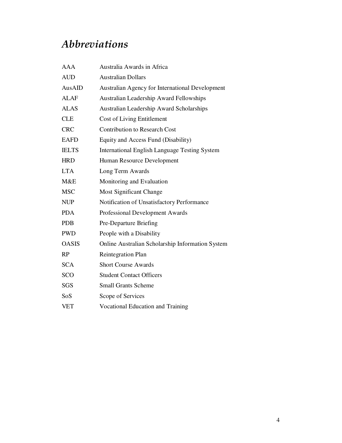# *Abbreviations*

| <b>AAA</b>   | Australia Awards in Africa                           |
|--------------|------------------------------------------------------|
| <b>AUD</b>   | <b>Australian Dollars</b>                            |
| AusAID       | Australian Agency for International Development      |
| <b>ALAF</b>  | <b>Australian Leadership Award Fellowships</b>       |
| <b>ALAS</b>  | <b>Australian Leadership Award Scholarships</b>      |
| <b>CLE</b>   | <b>Cost of Living Entitlement</b>                    |
| <b>CRC</b>   | <b>Contribution to Research Cost</b>                 |
| <b>EAFD</b>  | Equity and Access Fund (Disability)                  |
| <b>IELTS</b> | <b>International English Language Testing System</b> |
| <b>HRD</b>   | Human Resource Development                           |
| <b>LTA</b>   | Long Term Awards                                     |
| M&E          | Monitoring and Evaluation                            |
| <b>MSC</b>   | Most Significant Change                              |
| <b>NUP</b>   | Notification of Unsatisfactory Performance           |
| <b>PDA</b>   | Professional Development Awards                      |
| <b>PDB</b>   | Pre-Departure Briefing                               |
| <b>PWD</b>   | People with a Disability                             |
| <b>OASIS</b> | Online Australian Scholarship Information System     |
| RP           | <b>Reintegration Plan</b>                            |
| <b>SCA</b>   | <b>Short Course Awards</b>                           |
| SCO          | <b>Student Contact Officers</b>                      |
| SGS          | <b>Small Grants Scheme</b>                           |
| SoS          | Scope of Services                                    |
| <b>VET</b>   | <b>Vocational Education and Training</b>             |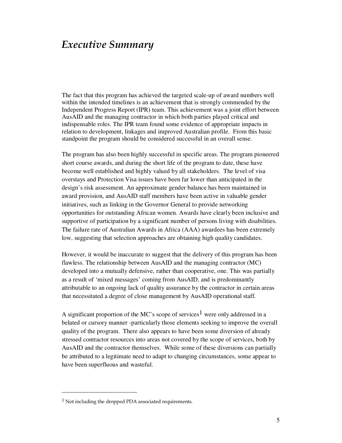# *Executive Summary*

The fact that this program has achieved the targeted scale-up of award numbers well within the intended timelines is an achievement that is strongly commended by the Independent Progress Report (IPR) team. This achievement was a joint effort between AusAID and the managing contractor in which both parties played critical and indispensable roles. The IPR team found some evidence of appropriate impacts in relation to development, linkages and improved Australian profile. From this basic standpoint the program should be considered successful in an overall sense.

The program has also been highly successful in specific areas. The program pioneered short course awards, and during the short life of the program to date, these have become well established and highly valued by all stakeholders. The level of visa overstays and Protection Visa issues have been far lower than anticipated in the design's risk assessment. An approximate gender balance has been maintained in award provision, and AusAID staff members have been active in valuable gender initiatives, such as linking in the Governor General to provide networking opportunities for outstanding African women. Awards have clearly been inclusive and supportive of participation by a significant number of persons living with disabilities. The failure rate of Australian Awards in Africa (AAA) awardees has been extremely low, suggesting that selection approaches are obtaining high quality candidates.

However, it would be inaccurate to suggest that the delivery of this program has been flawless. The relationship between AusAID and the managing contractor (MC) developed into a mutually defensive, rather than cooperative, one. This was partially as a result of 'mixed messages' coming from AusAID, and is predominantly attributable to an ongoing lack of quality assurance by the contractor in certain areas that necessitated a degree of close management by AusAID operational staff.

A significant proportion of the MC's scope of services<sup>1</sup> were only addressed in a belated or cursory manner -particularly those elements seeking to improve the overall quality of the program. There also appears to have been some diversion of already stressed contractor resources into areas not covered by the scope of services, both by AusAID and the contractor themselves. While some of these diversions can partially be attributed to a legitimate need to adapt to changing circumstances, some appear to have been superfluous and wasteful.

<sup>1</sup> Not including the dropped PDA associated requirements.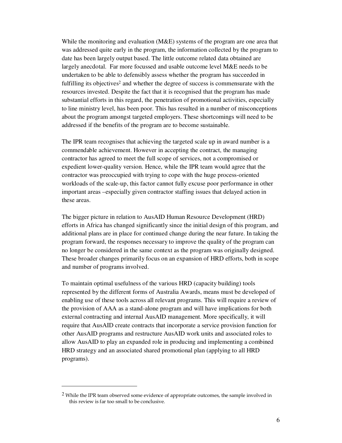While the monitoring and evaluation (M&E) systems of the program are one area that was addressed quite early in the program, the information collected by the program to date has been largely output based. The little outcome related data obtained are largely anecdotal. Far more focussed and usable outcome level M&E needs to be undertaken to be able to defensibly assess whether the program has succeeded in fulfilling its objectives<sup>2</sup> and whether the degree of success is commensurate with the resources invested. Despite the fact that it is recognised that the program has made substantial efforts in this regard, the penetration of promotional activities, especially to line ministry level, has been poor. This has resulted in a number of misconceptions about the program amongst targeted employers. These shortcomings will need to be addressed if the benefits of the program are to become sustainable.

The IPR team recognises that achieving the targeted scale up in award number is a commendable achievement. However in accepting the contract, the managing contractor has agreed to meet the full scope of services, not a compromised or expedient lower-quality version. Hence, while the IPR team would agree that the contractor was preoccupied with trying to cope with the huge process-oriented workloads of the scale-up, this factor cannot fully excuse poor performance in other important areas –especially given contractor staffing issues that delayed action in these areas.

The bigger picture in relation to AusAID Human Resource Development (HRD) efforts in Africa has changed significantly since the initial design of this program, and additional plans are in place for continued change during the near future. In taking the program forward, the responses necessary to improve the quality of the program can no longer be considered in the same context as the program was originally designed. These broader changes primarily focus on an expansion of HRD efforts, both in scope and number of programs involved.

To maintain optimal usefulness of the various HRD (capacity building) tools represented by the different forms of Australia Awards, means must be developed of enabling use of these tools across all relevant programs. This will require a review of the provision of AAA as a stand-alone program and will have implications for both external contracting and internal AusAID management. More specifically, it will require that AusAID create contracts that incorporate a service provision function for other AusAID programs and restructure AusAID work units and associated roles to allow AusAID to play an expanded role in producing and implementing a combined HRD strategy and an associated shared promotional plan (applying to all HRD programs).

 $2$  While the IPR team observed some evidence of appropriate outcomes, the sample involved in this review is far too small to be conclusive.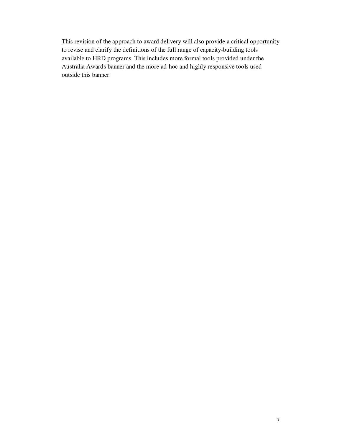This revision of the approach to award delivery will also provide a critical opportunity to revise and clarify the definitions of the full range of capacity-building tools available to HRD programs. This includes more formal tools provided under the Australia Awards banner and the more ad-hoc and highly responsive tools used outside this banner.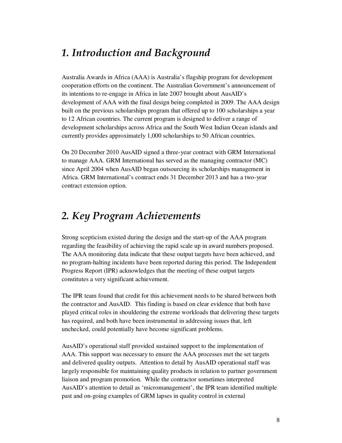# *1. Introduction and Background*

Australia Awards in Africa (AAA) is Australia's flagship program for development cooperation efforts on the continent. The Australian Government's announcement of its intentions to re-engage in Africa in late 2007 brought about AusAID's development of AAA with the final design being completed in 2009. The AAA design built on the previous scholarships program that offered up to 100 scholarships a year to 12 African countries. The current program is designed to deliver a range of development scholarships across Africa and the South West Indian Ocean islands and currently provides approximately 1,000 scholarships to 50 African countries.

On 20 December 2010 AusAID signed a three-year contract with GRM International to manage AAA. GRM International has served as the managing contractor (MC) since April 2004 when AusAID began outsourcing its scholarships management in Africa. GRM International's contract ends 31 December 2013 and has a two-year contract extension option.

# *2. Key Program Achievements*

Strong scepticism existed during the design and the start-up of the AAA program regarding the feasibility of achieving the rapid scale up in award numbers proposed. The AAA monitoring data indicate that these output targets have been achieved, and no program-halting incidents have been reported during this period. The Independent Progress Report (IPR) acknowledges that the meeting of these output targets constitutes a very significant achievement.

The IPR team found that credit for this achievement needs to be shared between both the contractor and AusAID. This finding is based on clear evidence that both have played critical roles in shouldering the extreme workloads that delivering these targets has required, and both have been instrumental in addressing issues that, left unchecked, could potentially have become significant problems.

AusAID's operational staff provided sustained support to the implementation of AAA. This support was necessary to ensure the AAA processes met the set targets and delivered quality outputs. Attention to detail by AusAID operational staff was largely responsible for maintaining quality products in relation to partner government liaison and program promotion. While the contractor sometimes interpreted AusAID's attention to detail as 'micromanagement', the IPR team identified multiple past and on-going examples of GRM lapses in quality control in external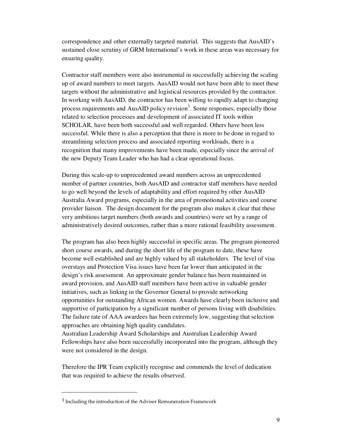correspondence and other externally targeted material. This suggests that AusAID's sustained close scrutiny of GRM International's work in these areas was necessary for ensuring quality.

Contractor staff members were also instrumental in successfully achieving the scaling up of award numbers to meet targets. AusAID would not have been able to meet these targets without the administrative and logistical resources provided by the contractor. In working with AusAID, the contractor has been willing to rapidly adapt to changing process requirements and AusAID policy revision<sup>3</sup>. Some responses, especially those related to selection processes and development of associated IT tools within SCHOLAR, have been both successful and well regarded. Others have been less successful. While there is also a perception that there is more to be done in regard to streamlining selection process and associated reporting workloads, there is a recognition that many improvements have been made, especially since the arrival of the new Deputy Team Leader who has had a clear operational focus.

During this scale-up to unprecedented award numbers across an unprecedented number of partner countries, both AusAID and contractor staff members have needed to go well beyond the levels of adaptability and effort required by other AusAID Australia Award programs, especially in the area of promotional activities and course provider liaison. The design document for the program also makes it clear that these very ambitious target numbers (both awards and countries) were set by a range of administratively desired outcomes, rather than a more rational feasibility assessment.

The program has also been highly successful in specific areas. The program pioneered short course awards, and during the short life of the program to date, these have become well established and are highly valued by all stakeholders. The level of visa overstays and Protection Visa issues have been far lower than anticipated in the design's risk assessment. An approximate gender balance has been maintained in award provision, and AusAID staff members have been active in valuable gender initiatives, such as linking in the Governor General to provide networking opportunities for outstanding African women. Awards have clearly been inclusive and supportive of participation by a significant number of persons living with disabilities. The failure rate of AAA awardees has been extremely low, suggesting that selection approaches are obtaining high quality candidates.

Australian Leadership Award Scholarships and Australian Leadership Award Fellowships have also been successfully incorporated into the program, although they were not considered in the design.

Therefore the IPR Team explicitly recognise and commends the level of dedication that was required to achieve the results observed.

<sup>&</sup>lt;sup>3</sup> Including the introduction of the Adviser Remuneration Framework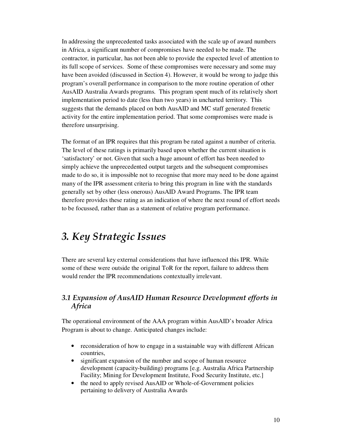In addressing the unprecedented tasks associated with the scale up of award numbers in Africa, a significant number of compromises have needed to be made. The contractor, in particular, has not been able to provide the expected level of attention to its full scope of services. Some of these compromises were necessary and some may have been avoided (discussed in Section 4). However, it would be wrong to judge this program's overall performance in comparison to the more routine operation of other AusAID Australia Awards programs. This program spent much of its relatively short implementation period to date (less than two years) in uncharted territory. This suggests that the demands placed on both AusAID and MC staff generated frenetic activity for the entire implementation period. That some compromises were made is therefore unsurprising.

The format of an IPR requires that this program be rated against a number of criteria. The level of these ratings is primarily based upon whether the current situation is 'satisfactory' or not. Given that such a huge amount of effort has been needed to simply achieve the unprecedented output targets and the subsequent compromises made to do so, it is impossible not to recognise that more may need to be done against many of the IPR assessment criteria to bring this program in line with the standards generally set by other (less onerous) AusAID Award Programs. The IPR team therefore provides these rating as an indication of where the next round of effort needs to be focussed, rather than as a statement of relative program performance.

# *3. Key Strategic Issues*

There are several key external considerations that have influenced this IPR. While some of these were outside the original ToR for the report, failure to address them would render the IPR recommendations contextually irrelevant.

## *3.1 Expansion of AusAID Human Resource Development efforts in Africa*

The operational environment of the AAA program within AusAID's broader Africa Program is about to change. Anticipated changes include:

- reconsideration of how to engage in a sustainable way with different African countries,
- significant expansion of the number and scope of human resource development (capacity-building) programs [e.g. Australia Africa Partnership Facility; Mining for Development Institute, Food Security Institute, etc.]
- the need to apply revised AusAID or Whole-of-Government policies pertaining to delivery of Australia Awards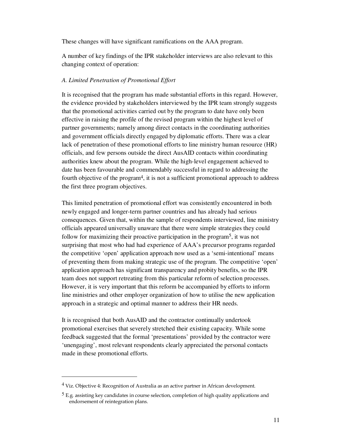These changes will have significant ramifications on the AAA program.

A number of key findings of the IPR stakeholder interviews are also relevant to this changing context of operation:

### *A. Limited Penetration of Promotional Effort*

It is recognised that the program has made substantial efforts in this regard. However, the evidence provided by stakeholders interviewed by the IPR team strongly suggests that the promotional activities carried out by the program to date have only been effective in raising the profile of the revised program within the highest level of partner governments; namely among direct contacts in the coordinating authorities and government officials directly engaged by diplomatic efforts. There was a clear lack of penetration of these promotional efforts to line ministry human resource (HR) officials, and few persons outside the direct AusAID contacts within coordinating authorities knew about the program. While the high-level engagement achieved to date has been favourable and commendably successful in regard to addressing the fourth objective of the program4, it is not a sufficient promotional approach to address the first three program objectives.

This limited penetration of promotional effort was consistently encountered in both newly engaged and longer-term partner countries and has already had serious consequences. Given that, within the sample of respondents interviewed, line ministry officials appeared universally unaware that there were simple strategies they could follow for maximizing their proactive participation in the program<sup>5</sup>, it was not surprising that most who had had experience of AAA's precursor programs regarded the competitive 'open' application approach now used as a 'semi-intentional' means of preventing them from making strategic use of the program. The competitive 'open' application approach has significant transparency and probity benefits, so the IPR team does not support retreating from this particular reform of selection processes. However, it is very important that this reform be accompanied by efforts to inform line ministries and other employer organization of how to utilise the new application approach in a strategic and optimal manner to address their HR needs.

It is recognised that both AusAID and the contractor continually undertook promotional exercises that severely stretched their existing capacity. While some feedback suggested that the formal 'presentations' provided by the contractor were 'unengaging', most relevant respondents clearly appreciated the personal contacts made in these promotional efforts.

 $\ddot{\phantom{a}}$ 

 $4$  Viz. Objective 4: Recognition of Australia as an active partner in African development.

<sup>&</sup>lt;sup>5</sup> E.g. assisting key candidates in course selection, completion of high quality applications and endorsement of reintegration plans.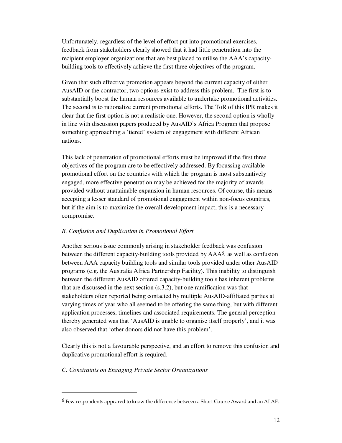Unfortunately, regardless of the level of effort put into promotional exercises, feedback from stakeholders clearly showed that it had little penetration into the recipient employer organizations that are best placed to utilise the AAA's capacitybuilding tools to effectively achieve the first three objectives of the program.

Given that such effective promotion appears beyond the current capacity of either AusAID or the contractor, two options exist to address this problem. The first is to substantially boost the human resources available to undertake promotional activities. The second is to rationalize current promotional efforts. The ToR of this IPR makes it clear that the first option is not a realistic one. However, the second option is wholly in line with discussion papers produced by AusAID's Africa Program that propose something approaching a 'tiered' system of engagement with different African nations.

This lack of penetration of promotional efforts must be improved if the first three objectives of the program are to be effectively addressed. By focussing available promotional effort on the countries with which the program is most substantively engaged, more effective penetration may be achieved for the majority of awards provided without unattainable expansion in human resources. Of course, this means accepting a lesser standard of promotional engagement within non-focus countries, but if the aim is to maximize the overall development impact, this is a necessary compromise.

### *B. Confusion and Duplication in Promotional Effort*

Another serious issue commonly arising in stakeholder feedback was confusion between the different capacity-building tools provided by AAA6, as well as confusion between AAA capacity building tools and similar tools provided under other AusAID programs (e.g. the Australia Africa Partnership Facility). This inability to distinguish between the different AusAID offered capacity-building tools has inherent problems that are discussed in the next section (s.3.2), but one ramification was that stakeholders often reported being contacted by multiple AusAID-affiliated parties at varying times of year who all seemed to be offering the same thing, but with different application processes, timelines and associated requirements. The general perception thereby generated was that 'AusAID is unable to organise itself properly', and it was also observed that 'other donors did not have this problem'.

Clearly this is not a favourable perspective, and an effort to remove this confusion and duplicative promotional effort is required.

### *C. Constraints on Engaging Private Sector Organizations*

<sup>6</sup> Few respondents appeared to know the difference between a Short Course Award and an ALAF.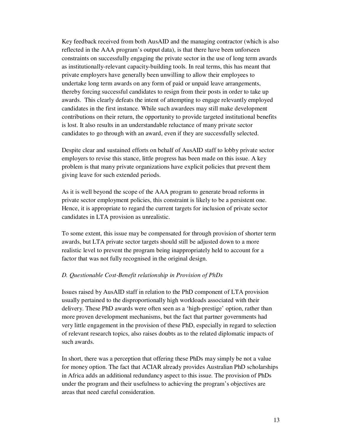Key feedback received from both AusAID and the managing contractor (which is also reflected in the AAA program's output data), is that there have been unforseen constraints on successfully engaging the private sector in the use of long term awards as institutionally-relevant capacity-building tools. In real terms, this has meant that private employers have generally been unwilling to allow their employees to undertake long term awards on any form of paid or unpaid leave arrangements, thereby forcing successful candidates to resign from their posts in order to take up awards. This clearly defeats the intent of attempting to engage relevantly employed candidates in the first instance. While such awardees may still make development contributions on their return, the opportunity to provide targeted institutional benefits is lost. It also results in an understandable reluctance of many private sector candidates to go through with an award, even if they are successfully selected.

Despite clear and sustained efforts on behalf of AusAID staff to lobby private sector employers to revise this stance, little progress has been made on this issue. A key problem is that many private organizations have explicit policies that prevent them giving leave for such extended periods.

As it is well beyond the scope of the AAA program to generate broad reforms in private sector employment policies, this constraint is likely to be a persistent one. Hence, it is appropriate to regard the current targets for inclusion of private sector candidates in LTA provision as unrealistic.

To some extent, this issue may be compensated for through provision of shorter term awards, but LTA private sector targets should still be adjusted down to a more realistic level to prevent the program being inappropriately held to account for a factor that was not fully recognised in the original design.

### *D. Questionable Cost-Benefit relationship in Provision of PhDs*

Issues raised by AusAID staff in relation to the PhD component of LTA provision usually pertained to the disproportionally high workloads associated with their delivery. These PhD awards were often seen as a 'high-prestige' option, rather than more proven development mechanisms, but the fact that partner governments had very little engagement in the provision of these PhD, especially in regard to selection of relevant research topics, also raises doubts as to the related diplomatic impacts of such awards.

In short, there was a perception that offering these PhDs may simply be not a value for money option. The fact that ACIAR already provides Australian PhD scholarships in Africa adds an additional redundancy aspect to this issue. The provision of PhDs under the program and their usefulness to achieving the program's objectives are areas that need careful consideration.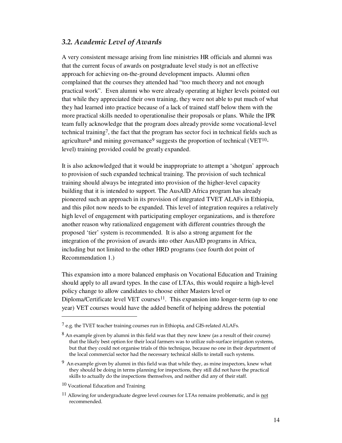### *3.2. Academic Level of Awards*

A very consistent message arising from line ministries HR officials and alumni was that the current focus of awards on postgraduate level study is not an effective approach for achieving on-the-ground development impacts. Alumni often complained that the courses they attended had "too much theory and not enough practical work". Even alumni who were already operating at higher levels pointed out that while they appreciated their own training, they were not able to put much of what they had learned into practice because of a lack of trained staff below them with the more practical skills needed to operationalise their proposals or plans. While the IPR team fully acknowledge that the program does already provide some vocational-level technical training<sup>7</sup>, the fact that the program has sector foci in technical fields such as agriculture<sup>8</sup> and mining governance<sup>9</sup> suggests the proportion of technical (VET<sup>10</sup>level) training provided could be greatly expanded.

It is also acknowledged that it would be inappropriate to attempt a 'shotgun' approach to provision of such expanded technical training. The provision of such technical training should always be integrated into provision of the higher-level capacity building that it is intended to support. The AusAID Africa program has already pioneered such an approach in its provision of integrated TVET ALAFs in Ethiopia, and this pilot now needs to be expanded. This level of integration requires a relatively high level of engagement with participating employer organizations, and is therefore another reason why rationalized engagement with different countries through the proposed 'tier' system is recommended. It is also a strong argument for the integration of the provision of awards into other AusAID programs in Africa, including but not limited to the other HRD programs (see fourth dot point of Recommendation 1.)

This expansion into a more balanced emphasis on Vocational Education and Training should apply to all award types. In the case of LTAs, this would require a high-level policy change to allow candidates to choose either Masters level or Diploma/Certificate level VET courses<sup>11</sup>. This expansion into longer-term (up to one year) VET courses would have the added benefit of helping address the potential

10 Vocational Education and Training

 $<sup>7</sup>$  e.g. the TVET teacher training courses run in Ethiopia, and GIS-related ALAFs.</sup>

 $8$  An example given by alumni in this field was that they now knew (as a result of their course) that the likely best option for their local farmers was to utilize sub-surface irrigation systems, but that they could not organise trials of this technique, because no one in their department of the local commercial sector had the necessary technical skills to install such systems.

 $9\,$  An example given by alumni in this field was that while they, as mine inspectors, knew what they should be doing in terms planning for inspections, they still did not have the practical skills to actually do the inspections themselves, and neither did any of their staff.

 $11$  Allowing for undergraduate degree level courses for LTAs remains problematic, and is not recommended.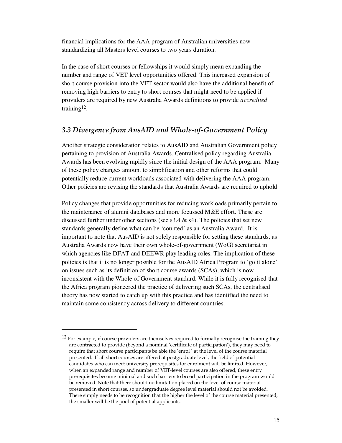financial implications for the AAA program of Australian universities now standardizing all Masters level courses to two years duration.

In the case of short courses or fellowships it would simply mean expanding the number and range of VET level opportunities offered. This increased expansion of short course provision into the VET sector would also have the additional benefit of removing high barriers to entry to short courses that might need to be applied if providers are required by new Australia Awards definitions to provide *accredited*  training<sup>12</sup>.

### *3.3 Divergence from AusAID and Whole-of-Government Policy*

Another strategic consideration relates to AusAID and Australian Government policy pertaining to provision of Australia Awards. Centralised policy regarding Australia Awards has been evolving rapidly since the initial design of the AAA program. Many of these policy changes amount to simplification and other reforms that could potentially reduce current workloads associated with delivering the AAA program. Other policies are revising the standards that Australia Awards are required to uphold.

Policy changes that provide opportunities for reducing workloads primarily pertain to the maintenance of alumni databases and more focussed M&E effort. These are discussed further under other sections (see s3.4  $\&$  s4). The policies that set new standards generally define what can be 'counted' as an Australia Award. It is important to note that AusAID is not solely responsible for setting these standards, as Australia Awards now have their own whole-of-government (WoG) secretariat in which agencies like DFAT and DEEWR play leading roles. The implication of these policies is that it is no longer possible for the AusAID Africa Program to 'go it alone' on issues such as its definition of short course awards (SCAs), which is now inconsistent with the Whole of Government standard. While it is fully recognised that the Africa program pioneered the practice of delivering such SCAs, the centralised theory has now started to catch up with this practice and has identified the need to maintain some consistency across delivery to different countries.

<sup>&</sup>lt;sup>12</sup> For example, if course providers are themselves required to formally recognise the training they are contracted to provide (beyond a nominal 'certificate of participation'), they may need to require that short course participants be able the 'enrol ' at the level of the course material presented. If all short courses are offered at postgraduate level, the field of potential candidates who can meet university prerequisites for enrolment will be limited. However, when an expanded range and number of VET-level courses are also offered, these entry prerequisites become minimal and such barriers to broad participation in the program would be removed. Note that there should no limitation placed on the level of course material presented in short courses, so undergraduate degree level material should not be avoided. There simply needs to be recognition that the higher the level of the course material presented, the smaller will be the pool of potential applicants.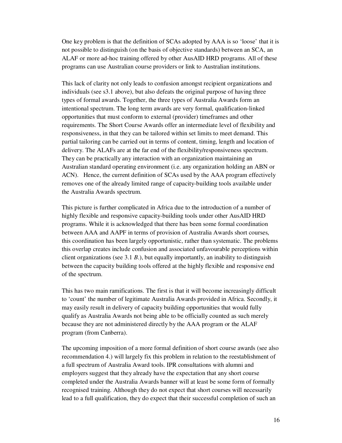One key problem is that the definition of SCAs adopted by AAA is so 'loose' that it is not possible to distinguish (on the basis of objective standards) between an SCA, an ALAF or more ad-hoc training offered by other AusAID HRD programs. All of these programs can use Australian course providers or link to Australian institutions.

This lack of clarity not only leads to confusion amongst recipient organizations and individuals (see s3.1 above), but also defeats the original purpose of having three types of formal awards. Together, the three types of Australia Awards form an intentional spectrum. The long term awards are very formal, qualification-linked opportunities that must conform to external (provider) timeframes and other requirements. The Short Course Awards offer an intermediate level of flexibility and responsiveness, in that they can be tailored within set limits to meet demand. This partial tailoring can be carried out in terms of content, timing, length and location of delivery. The ALAFs are at the far end of the flexibility/responsiveness spectrum. They can be practically any interaction with an organization maintaining an Australian standard operating environment (i.e. any organization holding an ABN or ACN). Hence, the current definition of SCAs used by the AAA program effectively removes one of the already limited range of capacity-building tools available under the Australia Awards spectrum.

This picture is further complicated in Africa due to the introduction of a number of highly flexible and responsive capacity-building tools under other AusAID HRD programs. While it is acknowledged that there has been some formal coordination between AAA and AAPF in terms of provision of Australia Awards short courses, this coordination has been largely opportunistic, rather than systematic. The problems this overlap creates include confusion and associated unfavourable perceptions within client organizations (see 3.1 *B*.), but equally importantly, an inability to distinguish between the capacity building tools offered at the highly flexible and responsive end of the spectrum.

This has two main ramifications. The first is that it will become increasingly difficult to 'count' the number of legitimate Australia Awards provided in Africa. Secondly, it may easily result in delivery of capacity building opportunities that would fully qualify as Australia Awards not being able to be officially counted as such merely because they are not administered directly by the AAA program or the ALAF program (from Canberra).

The upcoming imposition of a more formal definition of short course awards (see also recommendation 4.) will largely fix this problem in relation to the reestablishment of a full spectrum of Australia Award tools. IPR consultations with alumni and employers suggest that they already have the expectation that any short course completed under the Australia Awards banner will at least be some form of formally recognised training. Although they do not expect that short courses will necessarily lead to a full qualification, they do expect that their successful completion of such an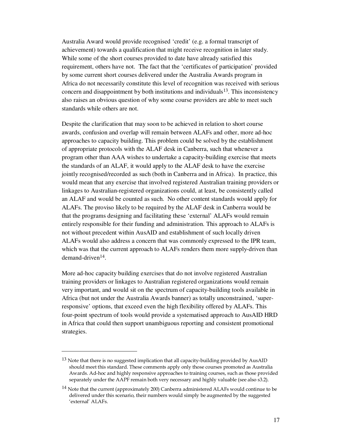Australia Award would provide recognised 'credit' (e.g. a formal transcript of achievement) towards a qualification that might receive recognition in later study. While some of the short courses provided to date have already satisfied this requirement, others have not. The fact that the 'certificates of participation' provided by some current short courses delivered under the Australia Awards program in Africa do not necessarily constitute this level of recognition was received with serious concern and disappointment by both institutions and individuals $13$ . This inconsistency also raises an obvious question of why some course providers are able to meet such standards while others are not.

Despite the clarification that may soon to be achieved in relation to short course awards, confusion and overlap will remain between ALAFs and other, more ad-hoc approaches to capacity building. This problem could be solved by the establishment of appropriate protocols with the ALAF desk in Canberra, such that whenever a program other than AAA wishes to undertake a capacity-building exercise that meets the standards of an ALAF, it would apply to the ALAF desk to have the exercise jointly recognised/recorded as such (both in Canberra and in Africa). In practice, this would mean that any exercise that involved registered Australian training providers or linkages to Australian-registered organizations could, at least, be consistently called an ALAF and would be counted as such. No other content standards would apply for ALAFs. The proviso likely to be required by the ALAF desk in Canberra would be that the programs designing and facilitating these 'external' ALAFs would remain entirely responsible for their funding and administration. This approach to ALAFs is not without precedent within AusAID and establishment of such locally driven ALAFs would also address a concern that was commonly expressed to the IPR team, which was that the current approach to ALAFs renders them more supply-driven than demand-driven14.

More ad-hoc capacity building exercises that do not involve registered Australian training providers or linkages to Australian registered organizations would remain very important, and would sit on the spectrum of capacity-building tools available in Africa (but not under the Australia Awards banner) as totally unconstrained, 'superresponsive' options, that exceed even the high flexibility offered by ALAFs. This four-point spectrum of tools would provide a systematised approach to AusAID HRD in Africa that could then support unambiguous reporting and consistent promotional strategies.

 $\ddot{\phantom{a}}$ 

<sup>&</sup>lt;sup>13</sup> Note that there is no suggested implication that all capacity-building provided by AusAID should meet this standard. These comments apply only those courses promoted as Australia Awards. Ad-hoc and highly responsive approaches to training courses, such as those provided separately under the AAPF remain both very necessary and highly valuable (see also s3.2).

<sup>&</sup>lt;sup>14</sup> Note that the current (approximately 200) Canberra administered ALAFs would continue to be delivered under this scenario, their numbers would simply be augmented by the suggested 'external' ALAFs.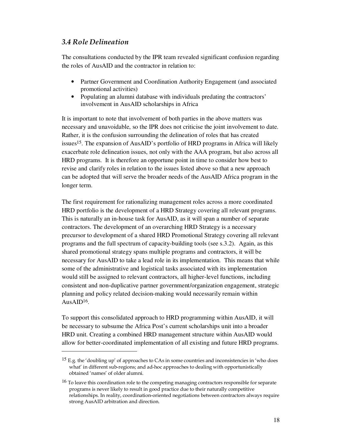### *3.4 Role Delineation*

 $\ddot{\phantom{a}}$ 

The consultations conducted by the IPR team revealed significant confusion regarding the roles of AusAID and the contractor in relation to:

- Partner Government and Coordination Authority Engagement (and associated promotional activities)
- Populating an alumni database with individuals predating the contractors' involvement in AusAID scholarships in Africa

It is important to note that involvement of both parties in the above matters was necessary and unavoidable, so the IPR does not criticise the joint involvement to date. Rather, it is the confusion surrounding the delineation of roles that has created issues15. The expansion of AusAID's portfolio of HRD programs in Africa will likely exacerbate role delineation issues, not only with the AAA program, but also across all HRD programs. It is therefore an opportune point in time to consider how best to revise and clarify roles in relation to the issues listed above so that a new approach can be adopted that will serve the broader needs of the AusAID Africa program in the longer term.

The first requirement for rationalizing management roles across a more coordinated HRD portfolio is the development of a HRD Strategy covering all relevant programs. This is naturally an in-house task for AusAID, as it will span a number of separate contractors. The development of an overarching HRD Strategy is a necessary precursor to development of a shared HRD Promotional Strategy covering all relevant programs and the full spectrum of capacity-building tools (see s.3.2). Again, as this shared promotional strategy spans multiple programs and contractors, it will be necessary for AusAID to take a lead role in its implementation. This means that while some of the administrative and logistical tasks associated with its implementation would still be assigned to relevant contractors, all higher-level functions, including consistent and non-duplicative partner government/organization engagement, strategic planning and policy related decision-making would necessarily remain within AusAID $16$ .

To support this consolidated approach to HRD programming within AusAID, it will be necessary to subsume the Africa Post's current scholarships unit into a broader HRD unit. Creating a combined HRD management structure within AusAID would allow for better-coordinated implementation of all existing and future HRD programs.

<sup>15</sup> E.g. the 'doubling up' of approaches to CAs in some countries and inconsistencies in 'who does what' in different sub-regions; and ad-hoc approaches to dealing with opportunistically obtained 'names' of older alumni.

<sup>&</sup>lt;sup>16</sup> To leave this coordination role to the competing managing contractors responsible for separate programs is never likely to result in good practice due to their naturally competitive relationships. In reality, coordination-oriented negotiations between contractors always require strong AusAID arbitration and direction.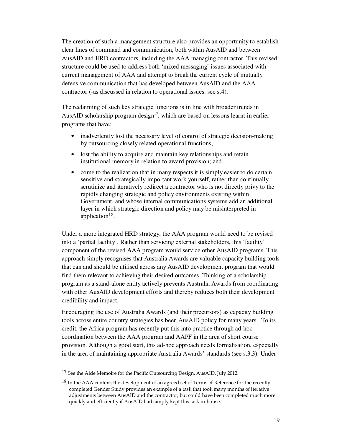The creation of such a management structure also provides an opportunity to establish clear lines of command and communication, both within AusAID and between AusAID and HRD contractors, including the AAA managing contractor. This revised structure could be used to address both 'mixed messaging' issues associated with current management of AAA and attempt to break the current cycle of mutually defensive communication that has developed between AusAID and the AAA contractor (-as discussed in relation to operational issues: see s.4).

The reclaiming of such key strategic functions is in line with broader trends in AusAID scholarship program design $17$ , which are based on lessons learnt in earlier programs that have:

- inadvertently lost the necessary level of control of strategic decision-making by outsourcing closely related operational functions;
- lost the ability to acquire and maintain key relationships and retain institutional memory in relation to award provision; and
- come to the realization that in many respects it is simply easier to do certain sensitive and strategically important work yourself, rather than continually scrutinize and iteratively redirect a contractor who is not directly privy to the rapidly changing strategic and policy environments existing within Government, and whose internal communications systems add an additional layer in which strategic direction and policy may be misinterpreted in application18.

Under a more integrated HRD strategy, the AAA program would need to be revised into a 'partial facility'. Rather than servicing external stakeholders, this 'facility' component of the revised AAA program would service other AusAID programs. This approach simply recognises that Australia Awards are valuable capacity building tools that can and should be utilised across any AusAID development program that would find them relevant to achieving their desired outcomes. Thinking of a scholarship program as a stand-alone entity actively prevents Australia Awards from coordinating with other AusAID development efforts and thereby reduces both their development credibility and impact.

Encouraging the use of Australia Awards (and their precursors) as capacity building tools across entire country strategies has been AusAID policy for many years. To its credit, the Africa program has recently put this into practice through ad-hoc coordination between the AAA program and AAPF in the area of short course provision. Although a good start, this ad-hoc approach needs formalisation, especially in the area of maintaining appropriate Australia Awards' standards (see s.3.3). Under

 $\ddot{\phantom{a}}$ 

<sup>17</sup> See the Aide Memoire for the Pacific Outsourcing Design. AusAID, July 2012.

<sup>&</sup>lt;sup>18</sup> In the AAA context, the development of an agreed set of Terms of Reference for the recently completed Gender Study provides an example of a task that took many months of iterative adjustments between AusAID and the contractor, but could have been completed much more quickly and efficiently if AusAID had simply kept this task in-house.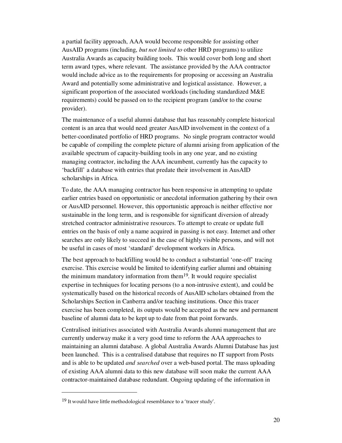a partial facility approach, AAA would become responsible for assisting other AusAID programs (including, *but not limited to* other HRD programs) to utilize Australia Awards as capacity building tools. This would cover both long and short term award types, where relevant. The assistance provided by the AAA contractor would include advice as to the requirements for proposing or accessing an Australia Award and potentially some administrative and logistical assistance. However, a significant proportion of the associated workloads (including standardized M&E requirements) could be passed on to the recipient program (and/or to the course provider).

The maintenance of a useful alumni database that has reasonably complete historical content is an area that would need greater AusAID involvement in the context of a better-coordinated portfolio of HRD programs. No single program contractor would be capable of compiling the complete picture of alumni arising from application of the available spectrum of capacity-building tools in any one year, and no existing managing contractor, including the AAA incumbent, currently has the capacity to 'backfill' a database with entries that predate their involvement in AusAID scholarships in Africa.

To date, the AAA managing contractor has been responsive in attempting to update earlier entries based on opportunistic or anecdotal information gathering by their own or AusAID personnel. However, this opportunistic approach is neither effective nor sustainable in the long term, and is responsible for significant diversion of already stretched contractor administrative resources. To attempt to create or update full entries on the basis of only a name acquired in passing is not easy. Internet and other searches are only likely to succeed in the case of highly visible persons, and will not be useful in cases of most 'standard' development workers in Africa.

The best approach to backfilling would be to conduct a substantial 'one-off' tracing exercise. This exercise would be limited to identifying earlier alumni and obtaining the minimum mandatory information from them19. It would require specialist expertise in techniques for locating persons (to a non-intrusive extent), and could be systematically based on the historical records of AusAID scholars obtained from the Scholarships Section in Canberra and/or teaching institutions. Once this tracer exercise has been completed, its outputs would be accepted as the new and permanent baseline of alumni data to be kept up to date from that point forwards.

Centralised initiatives associated with Australia Awards alumni management that are currently underway make it a very good time to reform the AAA approaches to maintaining an alumni database. A global Australia Awards Alumni Database has just been launched. This is a centralised database that requires no IT support from Posts and is able to be updated *and searched* over a web-based portal. The mass uploading of existing AAA alumni data to this new database will soon make the current AAA contractor-maintained database redundant. Ongoing updating of the information in

<sup>19</sup> It would have little methodological resemblance to a 'tracer study'.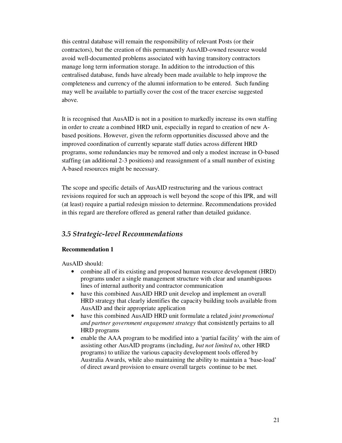this central database will remain the responsibility of relevant Posts (or their contractors), but the creation of this permanently AusAID-owned resource would avoid well-documented problems associated with having transitory contractors manage long term information storage. In addition to the introduction of this centralised database, funds have already been made available to help improve the completeness and currency of the alumni information to be entered. Such funding may well be available to partially cover the cost of the tracer exercise suggested above.

It is recognised that AusAID is not in a position to markedly increase its own staffing in order to create a combined HRD unit, especially in regard to creation of new Abased positions. However, given the reform opportunities discussed above and the improved coordination of currently separate staff duties across different HRD programs, some redundancies may be removed and only a modest increase in O-based staffing (an additional 2-3 positions) and reassignment of a small number of existing A-based resources might be necessary.

The scope and specific details of AusAID restructuring and the various contract revisions required for such an approach is well beyond the scope of this IPR, and will (at least) require a partial redesign mission to determine. Recommendations provided in this regard are therefore offered as general rather than detailed guidance.

## *3.5 Strategic-level Recommendations*

### **Recommendation 1**

AusAID should:

- combine all of its existing and proposed human resource development (HRD) programs under a single management structure with clear and unambiguous lines of internal authority and contractor communication
- have this combined AusAID HRD unit develop and implement an overall HRD strategy that clearly identifies the capacity building tools available from AusAID and their appropriate application
- have this combined AusAID HRD unit formulate a related *joint promotional and partner government engagement strategy* that consistently pertains to all HRD programs
- enable the AAA program to be modified into a 'partial facility' with the aim of assisting other AusAID programs (including, *but not limited to*, other HRD programs) to utilize the various capacity development tools offered by Australia Awards, while also maintaining the ability to maintain a 'base-load' of direct award provision to ensure overall targets continue to be met.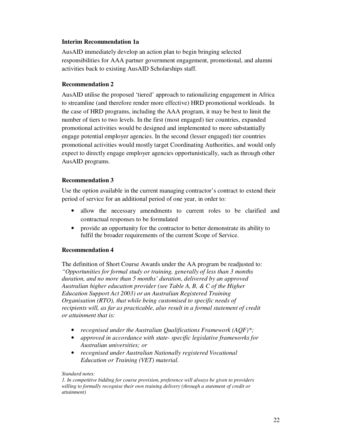### **Interim Recommendation 1a**

AusAID immediately develop an action plan to begin bringing selected responsibilities for AAA partner government engagement, promotional, and alumni activities back to existing AusAID Scholarships staff.

### **Recommendation 2**

AusAID utilise the proposed 'tiered' approach to rationalizing engagement in Africa to streamline (and therefore render more effective) HRD promotional workloads. In the case of HRD programs, including the AAA program, it may be best to limit the number of tiers to two levels. In the first (most engaged) tier countries, expanded promotional activities would be designed and implemented to more substantially engage potential employer agencies. In the second (lesser engaged) tier countries promotional activities would mostly target Coordinating Authorities, and would only expect to directly engage employer agencies opportunistically, such as through other AusAID programs.

### **Recommendation 3**

Use the option available in the current managing contractor's contract to extend their period of service for an additional period of one year, in order to:

- allow the necessary amendments to current roles to be clarified and contractual responses to be formulated
- provide an opportunity for the contractor to better demonstrate its ability to fulfil the broader requirements of the current Scope of Service.

### **Recommendation 4**

The definition of Short Course Awards under the AA program be readjusted to: *"Opportunities for formal study or training, generally of less than 3 months duration, and no more than 5 months' duration, delivered by an approved Australian higher education provider (see Table A, B, & C of the Higher Education Support Act 2003) or an Australian Registered Training Organisation (RTO), that while being customised to specific needs of recipients will, as far as practicable, also result in a formal statement of credit or attainment that is:* 

- *recognised under the Australian Qualifications Framework (AQF)\*;*
- *approved in accordance with state- specific legislative frameworks for Australian universities; or*
- *recognised under Australian Nationally registered Vocational Education or Training (VET) material.*

### *Standard notes:*

*1. In competitive bidding for course provision, preference will always be given to providers willing to formally recognise their own training delivery (through a statement of credit or attainment)*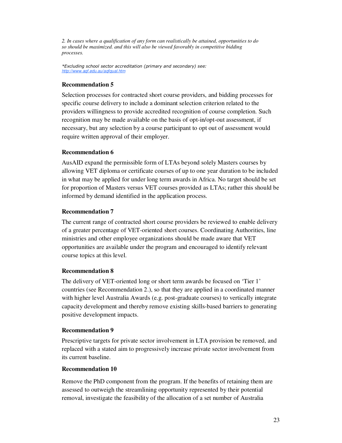*2. In cases where a qualification of any form can realistically be attained, opportunities to do so should be maximized. and this will also be viewed favorably in competitive bidding processes.* 

*\*Excluding school sector accreditation (primary and secondary) see: http://www.aqf.edu.au/aqfqual.htm*

### **Recommendation 5**

Selection processes for contracted short course providers, and bidding processes for specific course delivery to include a dominant selection criterion related to the providers willingness to provide accredited recognition of course completion. Such recognition may be made available on the basis of opt-in/opt-out assessment, if necessary, but any selection by a course participant to opt out of assessment would require written approval of their employer.

### **Recommendation 6**

AusAID expand the permissible form of LTAs beyond solely Masters courses by allowing VET diploma or certificate courses of up to one year duration to be included in what may be applied for under long term awards in Africa. No target should be set for proportion of Masters versus VET courses provided as LTAs; rather this should be informed by demand identified in the application process.

### **Recommendation 7**

The current range of contracted short course providers be reviewed to enable delivery of a greater percentage of VET-oriented short courses. Coordinating Authorities, line ministries and other employee organizations should be made aware that VET opportunities are available under the program and encouraged to identify relevant course topics at this level.

### **Recommendation 8**

The delivery of VET-oriented long or short term awards be focused on 'Tier 1' countries (see Recommendation 2.), so that they are applied in a coordinated manner with higher level Australia Awards (e.g. post-graduate courses) to vertically integrate capacity development and thereby remove existing skills-based barriers to generating positive development impacts.

### **Recommendation 9**

Prescriptive targets for private sector involvement in LTA provision be removed, and replaced with a stated aim to progressively increase private sector involvement from its current baseline.

### **Recommendation 10**

Remove the PhD component from the program. If the benefits of retaining them are assessed to outweigh the streamlining opportunity represented by their potential removal, investigate the feasibility of the allocation of a set number of Australia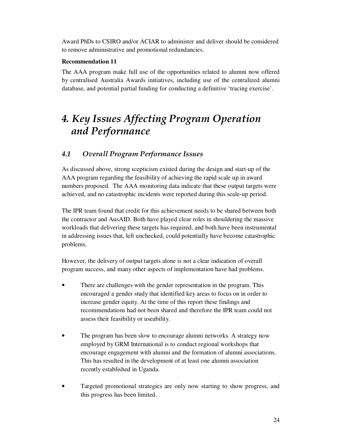Award PhDs to CSIRO and/or ACIAR to administer and deliver should be considered to remove administrative and promotional redundancies.

### **Recommendation 11**

The AAA program make full use of the opportunities related to alumni now offered by centralised Australia Awards initiatives, including use of the centralized alumni database, and potential partial funding for conducting a definitive 'tracing exercise'.

# *4. Key Issues Affecting Program Operation and Performance*

## *4.1 Overall Program Performance Issues*

As discussed above, strong scepticism existed during the design and start-up of the AAA program regarding the feasibility of achieving the rapid scale up in award numbers proposed. The AAA monitoring data indicate that these output targets were achieved, and no catastrophic incidents were reported during this scale-up period.

The IPR team found that credit for this achievement needs to be shared between both the contractor and AusAID. Both have played clear roles in shouldering the massive workloads that delivering these targets has required, and both have been instrumental in addressing issues that, left unchecked, could potentially have become catastrophic problems.

However, the delivery of output targets alone is not a clear indication of overall program success, and many other aspects of implementation have had problems.

- There are challenges with the gender representation in the program. This encouraged a gender study that identified key areas to focus on in order to increase gender equity. At the time of this report these findings and recommendations had not been shared and therefore the IPR team could not assess their feasibility or useability.
- The program has been slow to encourage alumni networks. A strategy now employed by GRM International is to conduct regional workshops that encourage engagement with alumni and the formation of alumni associations. This has resulted in the development of at least one alumni association recently established in Uganda.
- Targeted promotional strategies are only now starting to show progress, and this progress has been limited.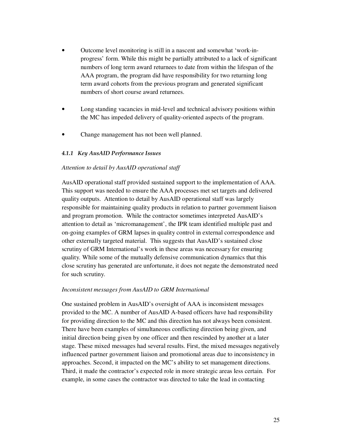- Outcome level monitoring is still in a nascent and somewhat 'work-inprogress' form. While this might be partially attributed to a lack of significant numbers of long term award returnees to date from within the lifespan of the AAA program, the program did have responsibility for two returning long term award cohorts from the previous program and generated significant numbers of short course award returnees.
- Long standing vacancies in mid-level and technical advisory positions within the MC has impeded delivery of quality-oriented aspects of the program.
- Change management has not been well planned.

### *4.1.1 Key AusAID Performance Issues*

### *Attention to detail by AusAID operational staff*

AusAID operational staff provided sustained support to the implementation of AAA. This support was needed to ensure the AAA processes met set targets and delivered quality outputs. Attention to detail by AusAID operational staff was largely responsible for maintaining quality products in relation to partner government liaison and program promotion. While the contractor sometimes interpreted AusAID's attention to detail as 'micromanagement', the IPR team identified multiple past and on-going examples of GRM lapses in quality control in external correspondence and other externally targeted material. This suggests that AusAID's sustained close scrutiny of GRM International's work in these areas was necessary for ensuring quality. While some of the mutually defensive communication dynamics that this close scrutiny has generated are unfortunate, it does not negate the demonstrated need for such scrutiny.

### *Inconsistent messages from AusAID to GRM International*

One sustained problem in AusAID's oversight of AAA is inconsistent messages provided to the MC. A number of AusAID A-based officers have had responsibility for providing direction to the MC and this direction has not always been consistent. There have been examples of simultaneous conflicting direction being given, and initial direction being given by one officer and then rescinded by another at a later stage. These mixed messages had several results. First, the mixed messages negatively influenced partner government liaison and promotional areas due to inconsistency in approaches. Second, it impacted on the MC's ability to set management directions. Third, it made the contractor's expected role in more strategic areas less certain. For example, in some cases the contractor was directed to take the lead in contacting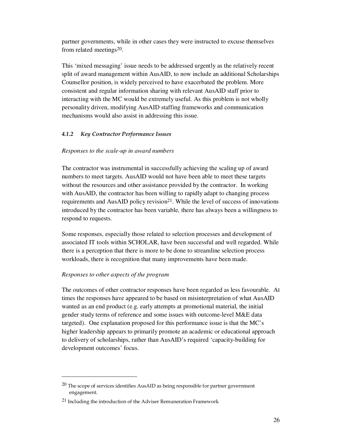partner governments, while in other cases they were instructed to excuse themselves from related meetings<sup>20</sup>.

This 'mixed messaging' issue needs to be addressed urgently as the relatively recent split of award management within AusAID, to now include an additional Scholarships Counsellor position, is widely perceived to have exacerbated the problem. More consistent and regular information sharing with relevant AusAID staff prior to interacting with the MC would be extremely useful. As this problem is not wholly personality driven, modifying AusAID staffing frameworks and communication mechanisms would also assist in addressing this issue.

### *4.1.2 Key Contractor Performance Issues*

### *Responses to the scale-up in award numbers*

The contractor was instrumental in successfully achieving the scaling up of award numbers to meet targets. AusAID would not have been able to meet these targets without the resources and other assistance provided by the contractor. In working with AusAID, the contractor has been willing to rapidly adapt to changing process requirements and AusAID policy revision<sup>21</sup>. While the level of success of innovations introduced by the contractor has been variable, there has always been a willingness to respond to requests.

Some responses, especially those related to selection processes and development of associated IT tools within SCHOLAR, have been successful and well regarded. While there is a perception that there is more to be done to streamline selection process workloads, there is recognition that many improvements have been made.

### *Responses to other aspects of the program*

 $\ddot{\phantom{a}}$ 

The outcomes of other contractor responses have been regarded as less favourable. At times the responses have appeared to be based on misinterpretation of what AusAID wanted as an end product (e.g. early attempts at promotional material, the initial gender study terms of reference and some issues with outcome-level M&E data targeted). One explanation proposed for this performance issue is that the MC's higher leadership appears to primarily promote an academic or educational approach to delivery of scholarships, rather than AusAID's required 'capacity-building for development outcomes' focus.

 $20$  The scope of services identifies AusAID as being responsible for partner government engagement.

<sup>&</sup>lt;sup>21</sup> Including the introduction of the Adviser Remuneration Framework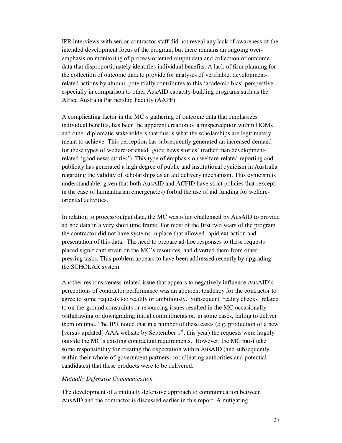IPR interviews with senior contractor staff did not reveal any lack of awareness of the intended development focus of the program, but there remains an ongoing overemphasis on monitoring of process-oriented output data and collection of outcome data that disproportionately identifies individual benefits. A lack of firm planning for the collection of outcome data to provide for analyses of verifiable, developmentrelated actions by alumni, potentially contributes to this 'academic bias' perspective – especially in comparison to other AusAID capacity-building programs such as the Africa Australia Partnership Facility (AAPF).

A complicating factor in the MC's gathering of outcome data that emphasizes individual benefits, has been the apparent creation of a misperception within HOMs and other diplomatic stakeholders that this is what the scholarships are legitimately meant to achieve. This perception has subsequently generated an increased demand for these types of welfare-oriented 'good news stories' (rather than developmentrelated 'good news stories'). This type of emphasis on welfare-related reporting and publicity has generated a high degree of public and institutional cynicism in Australia regarding the validity of scholarships as an aid delivery mechanism. This cynicism is understandable; given that both AusAID and ACFID have strict policies that (except in the case of humanitarian emergencies) forbid the use of aid funding for welfareoriented activities.

In relation to process/output data, the MC was often challenged by AusAID to provide ad hoc data in a very short time frame. For most of the first two years of the program the contractor did not have systems in place that allowed rapid extraction and presentation of this data. The need to prepare ad-hoc responses to these requests placed significant strain on the MC's resources, and diverted them from other pressing tasks. This problem appears to have been addressed recently by upgrading the SCHOLAR system.

Another responsiveness-related issue that appears to negatively influence AusAID's perceptions of contractor performance was an apparent tendency for the contractor to agree to some requests too readily or ambitiously. Subsequent 'reality checks' related to on-the-ground constraints or resourcing issues resulted in the MC occasionally withdrawing or downgrading initial commitments or, in some cases, failing to deliver them on time. The IPR noted that in a number of these cases (e.g. production of a new [versus updated] AAA website by September  $1<sup>st</sup>$ , this year) the requests were largely outside the MC's existing contractual requirements. However, the MC must take some responsibility for creating the expectation within AusAID (and subsequently within their whole-of-government partners, coordinating authorities and potential candidates) that these products were to be delivered.

### *Mutually Defensive Communication*

The development of a mutually defensive approach to communication between AusAID and the contractor is discussed earlier in this report. A mitigating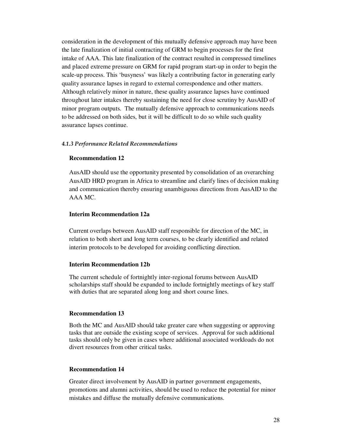consideration in the development of this mutually defensive approach may have been the late finalization of initial contracting of GRM to begin processes for the first intake of AAA. This late finalization of the contract resulted in compressed timelines and placed extreme pressure on GRM for rapid program start-up in order to begin the scale-up process. This 'busyness' was likely a contributing factor in generating early quality assurance lapses in regard to external correspondence and other matters. Although relatively minor in nature, these quality assurance lapses have continued throughout later intakes thereby sustaining the need for close scrutiny by AusAID of minor program outputs. The mutually defensive approach to communications needs to be addressed on both sides, but it will be difficult to do so while such quality assurance lapses continue.

#### *4.1.3 Performance Related Recommendations*

#### **Recommendation 12**

AusAID should use the opportunity presented by consolidation of an overarching AusAID HRD program in Africa to streamline and clarify lines of decision making and communication thereby ensuring unambiguous directions from AusAID to the AAA MC.

#### **Interim Recommendation 12a**

Current overlaps between AusAID staff responsible for direction of the MC, in relation to both short and long term courses, to be clearly identified and related interim protocols to be developed for avoiding conflicting direction.

### **Interim Recommendation 12b**

The current schedule of fortnightly inter-regional forums between AusAID scholarships staff should be expanded to include fortnightly meetings of key staff with duties that are separated along long and short course lines.

### **Recommendation 13**

Both the MC and AusAID should take greater care when suggesting or approving tasks that are outside the existing scope of services. Approval for such additional tasks should only be given in cases where additional associated workloads do not divert resources from other critical tasks.

### **Recommendation 14**

Greater direct involvement by AusAID in partner government engagements, promotions and alumni activities, should be used to reduce the potential for minor mistakes and diffuse the mutually defensive communications.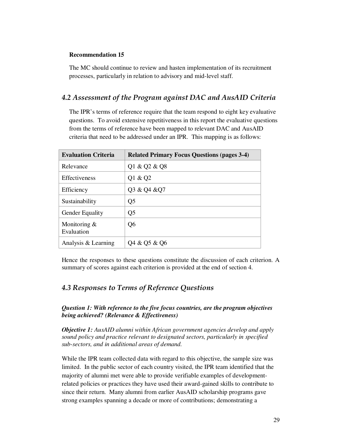### **Recommendation 15**

The MC should continue to review and hasten implementation of its recruitment processes, particularly in relation to advisory and mid-level staff.

### *4.2 Assessment of the Program against DAC and AusAID Criteria*

The IPR's terms of reference require that the team respond to eight key evaluative questions. To avoid extensive repetitiveness in this report the evaluative questions from the terms of reference have been mapped to relevant DAC and AusAID criteria that need to be addressed under an IPR. This mapping is as follows:

| <b>Evaluation Criteria</b>    | <b>Related Primary Focus Questions (pages 3-4)</b> |
|-------------------------------|----------------------------------------------------|
| Relevance                     | Q1 & Q2 & Q8                                       |
| <b>Effectiveness</b>          | Q1 & Q2                                            |
| Efficiency                    | Q3 & Q4 & Q7                                       |
| Sustainability                | Q <sub>5</sub>                                     |
| Gender Equality               | Q <sub>5</sub>                                     |
| Monitoring $\&$<br>Evaluation | Q <sub>6</sub>                                     |
| Analysis & Learning           | Q4 & Q5 & Q6                                       |

Hence the responses to these questions constitute the discussion of each criterion. A summary of scores against each criterion is provided at the end of section 4.

## *4.3 Responses to Terms of Reference Questions*

*Question 1: With reference to the five focus countries, are the program objectives being achieved? (Relevance & Effectiveness)* 

*Objective 1: AusAID alumni within African government agencies develop and apply sound policy and practice relevant to designated sectors, particularly in specified sub-sectors, and in additional areas of demand.* 

While the IPR team collected data with regard to this objective, the sample size was limited. In the public sector of each country visited, the IPR team identified that the majority of alumni met were able to provide verifiable examples of developmentrelated policies or practices they have used their award-gained skills to contribute to since their return. Many alumni from earlier AusAID scholarship programs gave strong examples spanning a decade or more of contributions; demonstrating a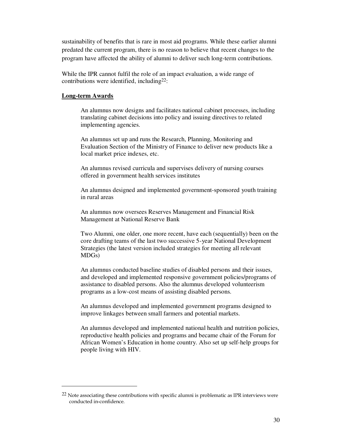sustainability of benefits that is rare in most aid programs. While these earlier alumni predated the current program, there is no reason to believe that recent changes to the program have affected the ability of alumni to deliver such long-term contributions.

While the IPR cannot fulfil the role of an impact evaluation, a wide range of contributions were identified, including  $22$ :

### **Long-term Awards**

 $\overline{a}$ 

An alumnus now designs and facilitates national cabinet processes, including translating cabinet decisions into policy and issuing directives to related implementing agencies.

An alumnus set up and runs the Research, Planning, Monitoring and Evaluation Section of the Ministry of Finance to deliver new products like a local market price indexes, etc.

An alumnus revised curricula and supervises delivery of nursing courses offered in government health services institutes

An alumnus designed and implemented government-sponsored youth training in rural areas

An alumnus now oversees Reserves Management and Financial Risk Management at National Reserve Bank

Two Alumni, one older, one more recent, have each (sequentially) been on the core drafting teams of the last two successive 5-year National Development Strategies (the latest version included strategies for meeting all relevant MDGs)

An alumnus conducted baseline studies of disabled persons and their issues, and developed and implemented responsive government policies/programs of assistance to disabled persons. Also the alumnus developed volunteerism programs as a low-cost means of assisting disabled persons.

An alumnus developed and implemented government programs designed to improve linkages between small farmers and potential markets.

An alumnus developed and implemented national health and nutrition policies, reproductive health policies and programs and became chair of the Forum for African Women's Education in home country. Also set up self-help groups for people living with HIV.

 $^{22}$  Note associating these contributions with specific alumni is problematic as IPR interviews were conducted in-confidence.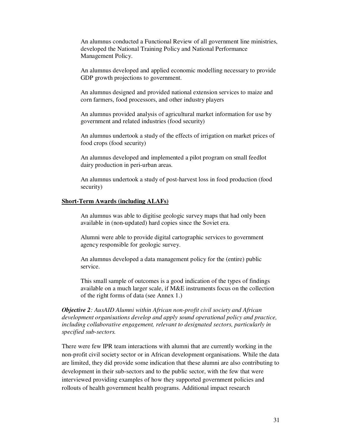An alumnus conducted a Functional Review of all government line ministries, developed the National Training Policy and National Performance Management Policy.

An alumnus developed and applied economic modelling necessary to provide GDP growth projections to government.

An alumnus designed and provided national extension services to maize and corn farmers, food processors, and other industry players

An alumnus provided analysis of agricultural market information for use by government and related industries (food security)

An alumnus undertook a study of the effects of irrigation on market prices of food crops (food security)

An alumnus developed and implemented a pilot program on small feedlot dairy production in peri-urban areas.

An alumnus undertook a study of post-harvest loss in food production (food security)

### **Short-Term Awards (including ALAFs)**

An alumnus was able to digitise geologic survey maps that had only been available in (non-updated) hard copies since the Soviet era.

Alumni were able to provide digital cartographic services to government agency responsible for geologic survey.

An alumnus developed a data management policy for the (entire) public service.

This small sample of outcomes is a good indication of the types of findings available on a much larger scale, if M&E instruments focus on the collection of the right forms of data (see Annex 1.)

*Objective 2: AusAID Alumni within African non-profit civil society and African development organisations develop and apply sound operational policy and practice, including collaborative engagement, relevant to designated sectors, particularly in specified sub-sectors.* 

There were few IPR team interactions with alumni that are currently working in the non-profit civil society sector or in African development organisations. While the data are limited, they did provide some indication that these alumni are also contributing to development in their sub-sectors and to the public sector, with the few that were interviewed providing examples of how they supported government policies and rollouts of health government health programs. Additional impact research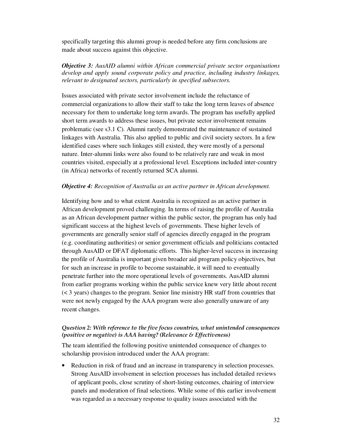specifically targeting this alumni group is needed before any firm conclusions are made about success against this objective.

### *Objective 3: AusAID alumni within African commercial private sector organisations develop and apply sound corporate policy and practice, including industry linkages, relevant to designated sectors, particularly in specified subsectors.*

Issues associated with private sector involvement include the reluctance of commercial organizations to allow their staff to take the long term leaves of absence necessary for them to undertake long term awards. The program has usefully applied short term awards to address these issues, but private sector involvement remains problematic (see s3.1 C). Alumni rarely demonstrated the maintenance of sustained linkages with Australia. This also applied to public and civil society sectors. In a few identified cases where such linkages still existed, they were mostly of a personal nature. Inter-alumni links were also found to be relatively rare and weak in most countries visited, especially at a professional level. Exceptions included inter-country (in Africa) networks of recently returned SCA alumni.

### *Objective 4: Recognition of Australia as an active partner in African development.*

Identifying how and to what extent Australia is recognized as an active partner in African development proved challenging. In terms of raising the profile of Australia as an African development partner within the public sector, the program has only had significant success at the highest levels of governments. These higher levels of governments are generally senior staff of agencies directly engaged in the program (e.g. coordinating authorities) or senior government officials and politicians contacted through AusAID or DFAT diplomatic efforts. This higher-level success in increasing the profile of Australia is important given broader aid program policy objectives, but for such an increase in profile to become sustainable, it will need to eventually penetrate further into the more operational levels of governments. AusAID alumni from earlier programs working within the public service knew very little about recent (< 3 years) changes to the program. Senior line ministry HR staff from countries that were not newly engaged by the AAA program were also generally unaware of any recent changes.

### *Question 2: With reference to the five focus countries, what unintended consequences (positive or negative) is AAA having? (Relevance & Effectiveness)*

The team identified the following positive unintended consequence of changes to scholarship provision introduced under the AAA program:

Reduction in risk of fraud and an increase in transparency in selection processes. Strong AusAID involvement in selection processes has included detailed reviews of applicant pools, close scrutiny of short-listing outcomes, chairing of interview panels and moderation of final selections. While some of this earlier involvement was regarded as a necessary response to quality issues associated with the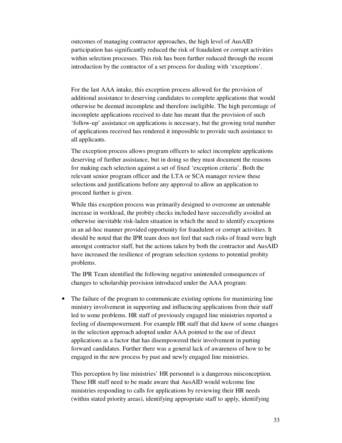outcomes of managing contractor approaches, the high level of AusAID participation has significantly reduced the risk of fraudulent or corrupt activities within selection processes. This risk has been further reduced through the recent introduction by the contractor of a set process for dealing with 'exceptions'.

For the last AAA intake, this exception process allowed for the provision of additional assistance to deserving candidates to complete applications that would otherwise be deemed incomplete and therefore ineligible. The high percentage of incomplete applications received to date has meant that the provision of such 'follow-up' assistance on applications is necessary, but the growing total number of applications received has rendered it impossible to provide such assistance to all applicants.

The exception process allows program officers to select incomplete applications deserving of further assistance, but in doing so they must document the reasons for making each selection against a set of fixed 'exception criteria'. Both the relevant senior program officer and the LTA or SCA manager review these selections and justifications before any approval to allow an application to proceed further is given.

While this exception process was primarily designed to overcome an untenable increase in workload, the probity checks included have successfully avoided an otherwise inevitable risk-laden situation in which the need to identify exceptions in an ad-hoc manner provided opportunity for fraudulent or corrupt activities. It should be noted that the IPR team does not feel that such risks of fraud were high amongst contractor staff, but the actions taken by both the contractor and AusAID have increased the resilience of program selection systems to potential probity problems.

The IPR Team identified the following negative unintended consequences of changes to scholarship provision introduced under the AAA program:

• The failure of the program to communicate existing options for maximizing line ministry involvement in supporting and influencing applications from their staff led to some problems. HR staff of previously engaged line ministries reported a feeling of disempowerment. For example HR staff that did know of some changes in the selection approach adopted under AAA pointed to the use of direct applications as a factor that has disempowered their involvement in putting forward candidates. Further there was a general lack of awareness of how to be engaged in the new process by past and newly engaged line ministries.

This perception by line ministries' HR personnel is a dangerous misconception. These HR staff need to be made aware that AusAID would welcome line ministries responding to calls for applications by reviewing their HR needs (within stated priority areas), identifying appropriate staff to apply, identifying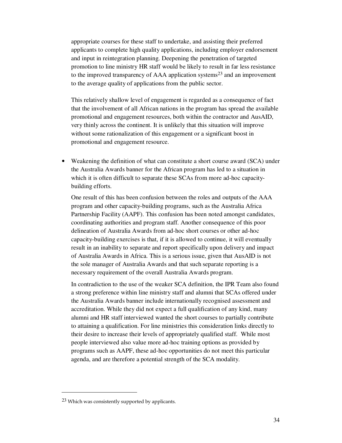appropriate courses for these staff to undertake, and assisting their preferred applicants to complete high quality applications, including employer endorsement and input in reintegration planning. Deepening the penetration of targeted promotion to line ministry HR staff would be likely to result in far less resistance to the improved transparency of AAA application systems<sup>23</sup> and an improvement to the average quality of applications from the public sector.

This relatively shallow level of engagement is regarded as a consequence of fact that the involvement of all African nations in the program has spread the available promotional and engagement resources, both within the contractor and AusAID, very thinly across the continent. It is unlikely that this situation will improve without some rationalization of this engagement or a significant boost in promotional and engagement resource.

• Weakening the definition of what can constitute a short course award (SCA) under the Australia Awards banner for the African program has led to a situation in which it is often difficult to separate these SCAs from more ad-hoc capacitybuilding efforts.

One result of this has been confusion between the roles and outputs of the AAA program and other capacity-building programs, such as the Australia Africa Partnership Facility (AAPF). This confusion has been noted amongst candidates, coordinating authorities and program staff. Another consequence of this poor delineation of Australia Awards from ad-hoc short courses or other ad-hoc capacity-building exercises is that, if it is allowed to continue, it will eventually result in an inability to separate and report specifically upon delivery and impact of Australia Awards in Africa. This is a serious issue, given that AusAID is not the sole manager of Australia Awards and that such separate reporting is a necessary requirement of the overall Australia Awards program.

In contradiction to the use of the weaker SCA definition, the IPR Team also found a strong preference within line ministry staff and alumni that SCAs offered under the Australia Awards banner include internationally recognised assessment and accreditation. While they did not expect a full qualification of any kind, many alumni and HR staff interviewed wanted the short courses to partially contribute to attaining a qualification. For line ministries this consideration links directly to their desire to increase their levels of appropriately qualified staff. While most people interviewed also value more ad-hoc training options as provided by programs such as AAPF, these ad-hoc opportunities do not meet this particular agenda, and are therefore a potential strength of the SCA modality.

<sup>23</sup> Which was consistently supported by applicants.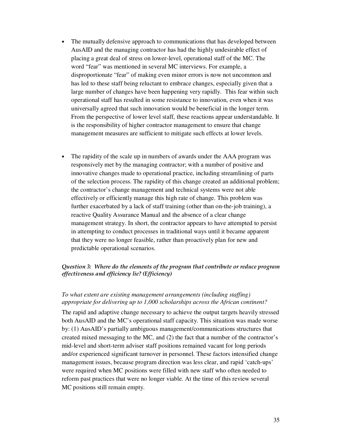- The mutually defensive approach to communications that has developed between AusAID and the managing contractor has had the highly undesirable effect of placing a great deal of stress on lower-level, operational staff of the MC. The word "fear" was mentioned in several MC interviews. For example, a disproportionate "fear" of making even minor errors is now not uncommon and has led to these staff being reluctant to embrace changes, especially given that a large number of changes have been happening very rapidly. This fear within such operational staff has resulted in some resistance to innovation, even when it was universally agreed that such innovation would be beneficial in the longer term. From the perspective of lower level staff, these reactions appear understandable. It is the responsibility of higher contractor management to ensure that change management measures are sufficient to mitigate such effects at lower levels.
- The rapidity of the scale up in numbers of awards under the AAA program was responsively met by the managing contractor; with a number of positive and innovative changes made to operational practice, including streamlining of parts of the selection process. The rapidity of this change created an additional problem; the contractor's change management and technical systems were not able effectively or efficiently manage this high rate of change. This problem was further exacerbated by a lack of staff training (other than on-the-job training), a reactive Quality Assurance Manual and the absence of a clear change management strategy. In short, the contractor appears to have attempted to persist in attempting to conduct processes in traditional ways until it became apparent that they were no longer feasible, rather than proactively plan for new and predictable operational scenarios.

### *Question 3: Where do the elements of the program that contribute or reduce program effectiveness and efficiency lie? (Efficiency)*

### *To what extent are existing management arrangements (including staffing) appropriate for delivering up to 1,000 scholarships across the African continent?*

The rapid and adaptive change necessary to achieve the output targets heavily stressed both AusAID and the MC's operational staff capacity. This situation was made worse by: (1) AusAID's partially ambiguous management/communications structures that created mixed messaging to the MC, and (2) the fact that a number of the contractor's mid-level and short-term adviser staff positions remained vacant for long periods and/or experienced significant turnover in personnel. These factors intensified change management issues, because program direction was less clear, and rapid 'catch-ups' were required when MC positions were filled with new staff who often needed to reform past practices that were no longer viable. At the time of this review several MC positions still remain empty.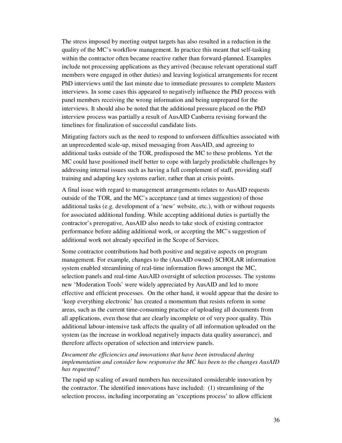The stress imposed by meeting output targets has also resulted in a reduction in the quality of the MC's workflow management. In practice this meant that self-tasking within the contractor often became reactive rather than forward-planned. Examples include not processing applications as they arrived (because relevant operational staff members were engaged in other duties) and leaving logistical arrangements for recent PhD interviews until the last minute due to immediate pressures to complete Masters interviews. In some cases this appeared to negatively influence the PhD process with panel members receiving the wrong information and being unprepared for the interviews. It should also be noted that the additional pressure placed on the PhD interview process was partially a result of AusAID Canberra revising forward the timelines for finalization of successful candidate lists.

Mitigating factors such as the need to respond to unforseen difficulties associated with an unprecedented scale-up, mixed messaging from AusAID, and agreeing to additional tasks outside of the TOR, predisposed the MC to these problems. Yet the MC could have positioned itself better to cope with largely predictable challenges by addressing internal issues such as having a full complement of staff, providing staff training and adapting key systems earlier, rather than at crisis points.

A final issue with regard to management arrangements relates to AusAID requests outside of the TOR, and the MC's acceptance (and at times suggestion) of those additional tasks (e.g. development of a 'new' website, etc.), with or without requests for associated additional funding. While accepting additional duties is partially the contractor's prerogative, AusAID also needs to take stock of existing contractor performance before adding additional work, or accepting the MC's suggestion of additional work not already specified in the Scope of Services.

Some contractor contributions had both positive and negative aspects on program management. For example, changes to the (AusAID owned) SCHOLAR information system enabled streamlining of real-time information flows amongst the MC, selection panels and real-time AusAID oversight of selection processes. The systems new 'Moderation Tools' were widely appreciated by AusAID and led to more effective and efficient processes. On the other hand, it would appear that the desire to 'keep everything electronic' has created a momentum that resists reform in some areas, such as the current time-consuming practice of uploading all documents from all applications, even those that are clearly incomplete or of very poor quality. This additional labour-intensive task affects the quality of all information uploaded on the system (as the increase in workload negatively impacts data quality assurance), and therefore affects operation of selection and interview panels.

*Document the efficiencies and innovations that have been introduced during implementation and consider how responsive the MC has been to the changes AusAID has requested?* 

The rapid up scaling of award numbers has necessitated considerable innovation by the contractor. The identified innovations have included: (1) streamlining of the selection process, including incorporating an 'exceptions process' to allow efficient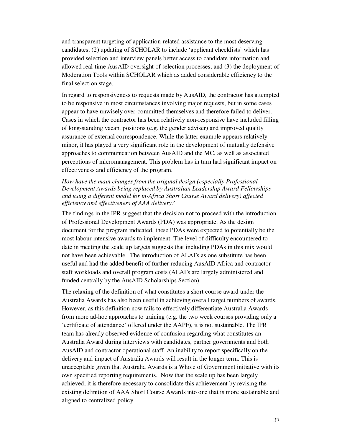and transparent targeting of application-related assistance to the most deserving candidates; (2) updating of SCHOLAR to include 'applicant checklists' which has provided selection and interview panels better access to candidate information and allowed real-time AusAID oversight of selection processes; and (3) the deployment of Moderation Tools within SCHOLAR which as added considerable efficiency to the final selection stage.

In regard to responsiveness to requests made by AusAID, the contractor has attempted to be responsive in most circumstances involving major requests, but in some cases appear to have unwisely over-committed themselves and therefore failed to deliver. Cases in which the contractor has been relatively non-responsive have included filling of long-standing vacant positions (e.g. the gender adviser) and improved quality assurance of external correspondence. While the latter example appears relatively minor, it has played a very significant role in the development of mutually defensive approaches to communication between AusAID and the MC, as well as associated perceptions of micromanagement. This problem has in turn had significant impact on effectiveness and efficiency of the program.

## *How have the main changes from the original design (especially Professional Development Awards being replaced by Australian Leadership Award Fellowships and using a different model for in-Africa Short Course Award delivery) affected efficiency and effectiveness of AAA delivery?*

The findings in the IPR suggest that the decision not to proceed with the introduction of Professional Development Awards (PDA) was appropriate. As the design document for the program indicated, these PDAs were expected to potentially be the most labour intensive awards to implement. The level of difficulty encountered to date in meeting the scale up targets suggests that including PDAs in this mix would not have been achievable. The introduction of ALAFs as one substitute has been useful and had the added benefit of further reducing AusAID Africa and contractor staff workloads and overall program costs (ALAFs are largely administered and funded centrally by the AusAID Scholarships Section).

The relaxing of the definition of what constitutes a short course award under the Australia Awards has also been useful in achieving overall target numbers of awards. However, as this definition now fails to effectively differentiate Australia Awards from more ad-hoc approaches to training (e.g. the two week courses providing only a 'certificate of attendance' offered under the AAPF), it is not sustainable. The IPR team has already observed evidence of confusion regarding what constitutes an Australia Award during interviews with candidates, partner governments and both AusAID and contractor operational staff. An inability to report specifically on the delivery and impact of Australia Awards will result in the longer term. This is unacceptable given that Australia Awards is a Whole of Government initiative with its own specified reporting requirements. Now that the scale up has been largely achieved, it is therefore necessary to consolidate this achievement by revising the existing definition of AAA Short Course Awards into one that is more sustainable and aligned to centralized policy.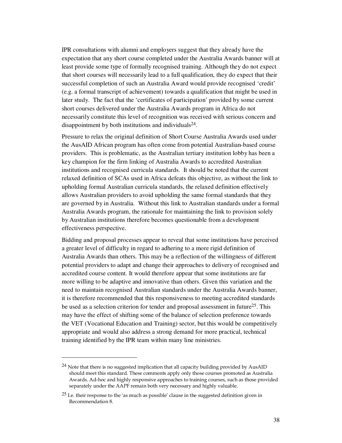IPR consultations with alumni and employers suggest that they already have the expectation that any short course completed under the Australia Awards banner will at least provide some type of formally recognised training. Although they do not expect that short courses will necessarily lead to a full qualification, they do expect that their successful completion of such an Australia Award would provide recognised 'credit' (e.g. a formal transcript of achievement) towards a qualification that might be used in later study. The fact that the 'certificates of participation' provided by some current short courses delivered under the Australia Awards program in Africa do not necessarily constitute this level of recognition was received with serious concern and disappointment by both institutions and individuals $^{24}$ .

Pressure to relax the original definition of Short Course Australia Awards used under the AusAID African program has often come from potential Australian-based course providers. This is problematic, as the Australian tertiary institution lobby has been a key champion for the firm linking of Australia Awards to accredited Australian institutions and recognised curricula standards. It should be noted that the current relaxed definition of SCAs used in Africa defeats this objective, as without the link to upholding formal Australian curricula standards, the relaxed definition effectively allows Australian providers to avoid upholding the same formal standards that they are governed by in Australia. Without this link to Australian standards under a formal Australia Awards program, the rationale for maintaining the link to provision solely by Australian institutions therefore becomes questionable from a development effectiveness perspective.

Bidding and proposal processes appear to reveal that some institutions have perceived a greater level of difficulty in regard to adhering to a more rigid definition of Australia Awards than others. This may be a reflection of the willingness of different potential providers to adapt and change their approaches to delivery of recognised and accredited course content. It would therefore appear that some institutions are far more willing to be adaptive and innovative than others. Given this variation and the need to maintain recognised Australian standards under the Australia Awards banner, it is therefore recommended that this responsiveness to meeting accredited standards be used as a selection criterion for tender and proposal assessment in future<sup>25</sup>. This may have the effect of shifting some of the balance of selection preference towards the VET (Vocational Education and Training) sector, but this would be competitively appropriate and would also address a strong demand for more practical, technical training identified by the IPR team within many line ministries.

 $\overline{a}$ 

 $24$  Note that there is no suggested implication that all capacity building provided by AusAID should meet this standard. These comments apply only those courses promoted as Australia Awards. Ad-hoc and highly responsive approaches to training courses, such as those provided separately under the AAPF remain both very necessary and highly valuable.

 $25$  I.e. their response to the 'as much as possible' clause in the suggested definition given in Recommendation 8.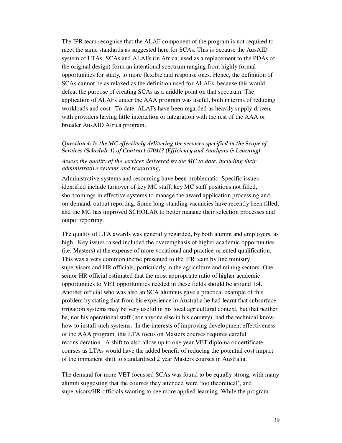The IPR team recognise that the ALAF component of the program is not required to meet the same standards as suggested here for SCAs. This is because the AusAID system of LTAs, SCAs and ALAFs (in Africa, used as a replacement to the PDAs of the original design) form an intentional spectrum ranging from highly formal opportunities for study, to more flexible and response ones. Hence, the definition of SCAs cannot be as relaxed as the definition used for ALAFs, because this would defeat the purpose of creating SCAs as a middle point on that spectrum. The application of ALAFs under the AAA program was useful, both in terms of reducing workloads and cost. To date, ALAFs have been regarded as heavily supply-driven, with providers having little interaction or integration with the rest of the AAA or broader AusAID Africa program.

## *Question 4: Is the MC effectively delivering the services specified in the Scope of Services (Schedule 1) of Contract 57041? (Efficiency and Analysis & Learning)*

## *Assess the quality of the services delivered by the MC to date, including their administrative systems and resourcing;*

Administrative systems and resourcing have been problematic. Specific issues identified include turnover of key MC staff, key MC staff positions not filled, shortcomings in effective systems to manage the award application processing and on-demand, output reporting. Some long-standing vacancies have recently been filled, and the MC has improved SCHOLAR to better manage their selection processes and output reporting.

The quality of LTA awards was generally regarded, by both alumni and employers, as high. Key issues raised included the overemphasis of higher academic opportunities (i.e. Masters) at the expense of more vocational and practice-oriented qualification. This was a very common theme presented to the IPR team by line ministry supervisors and HR officials, particularly in the agriculture and mining sectors. One senior HR official estimated that the most appropriate ratio of higher academic opportunities to VET opportunities needed in these fields should be around 1:4. Another official who was also an SCA alumnus gave a practical example of this problem by stating that from his experience in Australia he had learnt that subsurface irrigation systems may be very useful in his local agricultural context, but that neither he, nor his operational staff (nor anyone else in his country), had the technical knowhow to install such systems. In the interests of improving development effectiveness of the AAA program, this LTA focus on Masters courses requires careful reconsideration. A shift to also allow up to one year VET diploma or certificate courses as LTAs would have the added benefit of reducing the potential cost impact of the immanent shift to standardised 2 year Masters courses in Australia.

The demand for more VET focussed SCAs was found to be equally strong, with many alumni suggesting that the courses they attended were 'too theoretical', and supervisors/HR officials wanting to see more applied learning. While the program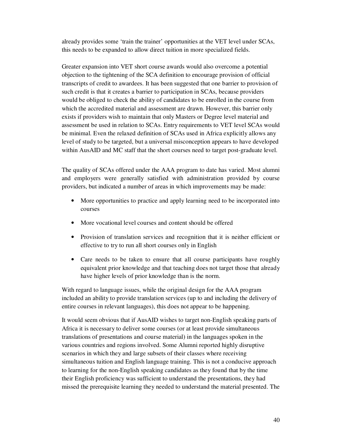already provides some 'train the trainer' opportunities at the VET level under SCAs, this needs to be expanded to allow direct tuition in more specialized fields.

Greater expansion into VET short course awards would also overcome a potential objection to the tightening of the SCA definition to encourage provision of official transcripts of credit to awardees. It has been suggested that one barrier to provision of such credit is that it creates a barrier to participation in SCAs, because providers would be obliged to check the ability of candidates to be enrolled in the course from which the accredited material and assessment are drawn. However, this barrier only exists if providers wish to maintain that only Masters or Degree level material and assessment be used in relation to SCAs. Entry requirements to VET level SCAs would be minimal. Even the relaxed definition of SCAs used in Africa explicitly allows any level of study to be targeted, but a universal misconception appears to have developed within AusAID and MC staff that the short courses need to target post-graduate level.

The quality of SCAs offered under the AAA program to date has varied. Most alumni and employers were generally satisfied with administration provided by course providers, but indicated a number of areas in which improvements may be made:

- More opportunities to practice and apply learning need to be incorporated into courses
- More vocational level courses and content should be offered
- Provision of translation services and recognition that it is neither efficient or effective to try to run all short courses only in English
- Care needs to be taken to ensure that all course participants have roughly equivalent prior knowledge and that teaching does not target those that already have higher levels of prior knowledge than is the norm.

With regard to language issues, while the original design for the AAA program included an ability to provide translation services (up to and including the delivery of entire courses in relevant languages), this does not appear to be happening.

It would seem obvious that if AusAID wishes to target non-English speaking parts of Africa it is necessary to deliver some courses (or at least provide simultaneous translations of presentations and course material) in the languages spoken in the various countries and regions involved. Some Alumni reported highly disruptive scenarios in which they and large subsets of their classes where receiving simultaneous tuition and English language training. This is not a conducive approach to learning for the non-English speaking candidates as they found that by the time their English proficiency was sufficient to understand the presentations, they had missed the prerequisite learning they needed to understand the material presented. The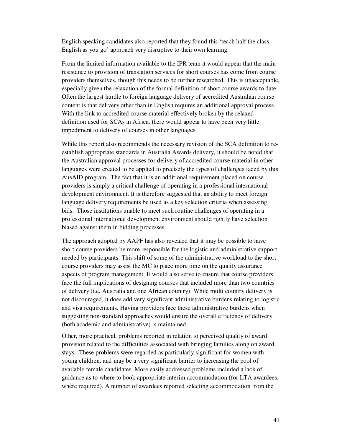English speaking candidates also reported that they found this 'teach half the class English as you go' approach very disruptive to their own learning.

From the limited information available to the IPR team it would appear that the main resistance to provision of translation services for short courses has come from course providers themselves, though this needs to be further researched. This is unacceptable, especially given the relaxation of the formal definition of short course awards to date. Often the largest hurdle to foreign language delivery of accredited Australian course content is that delivery other than in English requires an additional approval process. With the link to accredited course material effectively broken by the relaxed definition used for SCAs in Africa, there would appear to have been very little impediment to delivery of courses in other languages.

While this report also recommends the necessary revision of the SCA definition to reestablish appropriate standards in Australia Awards delivery, it should be noted that the Australian approval processes for delivery of accredited course material in other languages were created to be applied to precisely the types of challenges faced by this AusAID program. The fact that it is an additional requirement placed on course providers is simply a critical challenge of operating in a professional international development environment. It is therefore suggested that an ability to meet foreign language delivery requirements be used as a key selection criteria when assessing bids. Those institutions unable to meet such routine challenges of operating in a professional international development environment should rightly have selection biased against them in bidding processes.

The approach adopted by AAPF has also revealed that it may be possible to have short course providers be more responsible for the logistic and administrative support needed by participants. This shift of some of the administrative workload to the short course providers may assist the MC to place more time on the quality assurance aspects of program management. It would also serve to ensure that course providers face the full implications of designing courses that included more than two countries of delivery (i.e. Australia and one African country). While multi country delivery is not discouraged, it does add very significant administrative burdens relating to logistic and visa requirements. Having providers face these administrative burdens when suggesting non-standard approaches would ensure the overall efficiency of delivery (both academic and administrative) is maintained.

Other, more practical, problems reported in relation to perceived quality of award provision related to the difficulties associated with bringing families along on award stays. These problems were regarded as particularly significant for women with young children, and may be a very significant barrier to increasing the pool of available female candidates. More easily addressed problems included a lack of guidance as to where to book appropriate interim accommodation (for LTA awardees, where required). A number of awardees reported selecting accommodation from the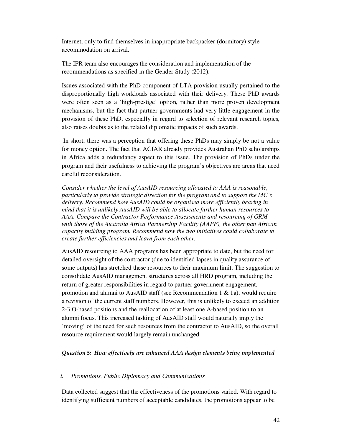Internet, only to find themselves in inappropriate backpacker (dormitory) style accommodation on arrival.

The IPR team also encourages the consideration and implementation of the recommendations as specified in the Gender Study (2012).

Issues associated with the PhD component of LTA provision usually pertained to the disproportionally high workloads associated with their delivery. These PhD awards were often seen as a 'high-prestige' option, rather than more proven development mechanisms, but the fact that partner governments had very little engagement in the provision of these PhD, especially in regard to selection of relevant research topics, also raises doubts as to the related diplomatic impacts of such awards.

 In short, there was a perception that offering these PhDs may simply be not a value for money option. The fact that ACIAR already provides Australian PhD scholarships in Africa adds a redundancy aspect to this issue. The provision of PhDs under the program and their usefulness to achieving the program's objectives are areas that need careful reconsideration.

*Consider whether the level of AusAID resourcing allocated to AAA is reasonable, particularly to provide strategic direction for the program and to support the MC's delivery. Recommend how AusAID could be organised more efficiently bearing in mind that it is unlikely AusAID will be able to allocate further human resources to AAA. Compare the Contractor Performance Assessments and resourcing of GRM with those of the Australia Africa Partnership Facility (AAPF), the other pan African capacity building program. Recommend how the two initiatives could collaborate to create further efficiencies and learn from each other.* 

AusAID resourcing to AAA programs has been appropriate to date, but the need for detailed oversight of the contractor (due to identified lapses in quality assurance of some outputs) has stretched these resources to their maximum limit. The suggestion to consolidate AusAID management structures across all HRD program, including the return of greater responsibilities in regard to partner government engagement, promotion and alumni to AusAID staff (see Recommendation 1  $\&$  1a), would require a revision of the current staff numbers. However, this is unlikely to exceed an addition 2-3 O-based positions and the reallocation of at least one A-based position to an alumni focus. This increased tasking of AusAID staff would naturally imply the 'moving' of the need for such resources from the contractor to AusAID, so the overall resource requirement would largely remain unchanged.

#### *Question 5: How effectively are enhanced AAA design elements being implemented*

#### *i. Promotions, Public Diplomacy and Communications*

Data collected suggest that the effectiveness of the promotions varied. With regard to identifying sufficient numbers of acceptable candidates, the promotions appear to be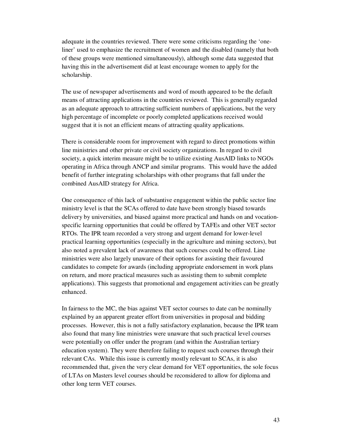adequate in the countries reviewed. There were some criticisms regarding the 'oneliner' used to emphasize the recruitment of women and the disabled (namely that both of these groups were mentioned simultaneously), although some data suggested that having this in the advertisement did at least encourage women to apply for the scholarship.

The use of newspaper advertisements and word of mouth appeared to be the default means of attracting applications in the countries reviewed. This is generally regarded as an adequate approach to attracting sufficient numbers of applications, but the very high percentage of incomplete or poorly completed applications received would suggest that it is not an efficient means of attracting quality applications.

There is considerable room for improvement with regard to direct promotions within line ministries and other private or civil society organizations. In regard to civil society, a quick interim measure might be to utilize existing AusAID links to NGOs operating in Africa through ANCP and similar programs. This would have the added benefit of further integrating scholarships with other programs that fall under the combined AusAID strategy for Africa.

One consequence of this lack of substantive engagement within the public sector line ministry level is that the SCAs offered to date have been strongly biased towards delivery by universities, and biased against more practical and hands on and vocationspecific learning opportunities that could be offered by TAFEs and other VET sector RTOs. The IPR team recorded a very strong and urgent demand for lower-level practical learning opportunities (especially in the agriculture and mining sectors), but also noted a prevalent lack of awareness that such courses could be offered. Line ministries were also largely unaware of their options for assisting their favoured candidates to compete for awards (including appropriate endorsement in work plans on return, and more practical measures such as assisting them to submit complete applications). This suggests that promotional and engagement activities can be greatly enhanced.

In fairness to the MC, the bias against VET sector courses to date can be nominally explained by an apparent greater effort from universities in proposal and bidding processes. However, this is not a fully satisfactory explanation, because the IPR team also found that many line ministries were unaware that such practical level courses were potentially on offer under the program (and within the Australian tertiary education system). They were therefore failing to request such courses through their relevant CAs. While this issue is currently mostly relevant to SCAs, it is also recommended that, given the very clear demand for VET opportunities, the sole focus of LTAs on Masters level courses should be reconsidered to allow for diploma and other long term VET courses.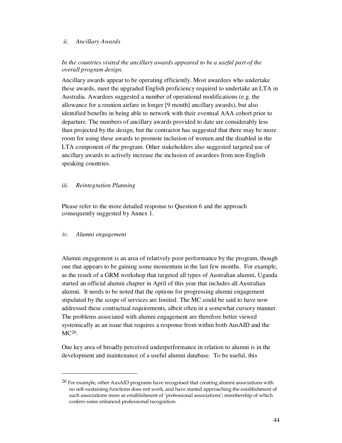#### *ii. Ancillary Awards*

## In the countries visited the ancillary awards appeared to be a useful part of the *overall program design.*

Ancillary awards appear to be operating efficiently. Most awardees who undertake these awards, meet the upgraded English proficiency required to undertake an LTA in Australia. Awardees suggested a number of operational modifications (e.g. the allowance for a reunion airfare in longer [9 month] ancillary awards), but also identified benefits in being able to network with their eventual AAA cohort prior to departure. The numbers of ancillary awards provided to date are considerably less than projected by the design, but the contractor has suggested that there may be more room for using these awards to promote inclusion of women and the disabled in the LTA component of the program. Other stakeholders also suggested targeted use of ancillary awards to actively increase the inclusion of awardees from non-English speaking countries.

#### *iii. Reintegration Planning*

Please refer to the more detailed response to Question 6 and the approach consequently suggested by Annex 1.

#### *iv. Alumni engagement*

 $\overline{a}$ 

Alumni engagement is an area of relatively poor performance by the program, though one that appears to be gaining some momentum in the last few months. For example, as the result of a GRM workshop that targeted all types of Australian alumni, Uganda started an official alumni chapter in April of this year that includes all Australian alumni. It needs to be noted that the options for progressing alumni engagement stipulated by the scope of services are limited. The MC could be said to have now addressed these contractual requirements, albeit often in a somewhat cursory manner. The problems associated with alumni engagement are therefore better viewed systemically as an issue that requires a response from within both AusAID and the MC26.

One key area of broadly perceived underperformance in relation to alumni is in the development and maintenance of a useful alumni database. To be useful, this

 $^{26}$  For example, other AusAID programs have recognised that creating alumni associations with no self-sustaining functions does not work, and have started approaching the establishment of such associations more as establishment of 'professional associations'; membership of which confers some enhanced professional recognition.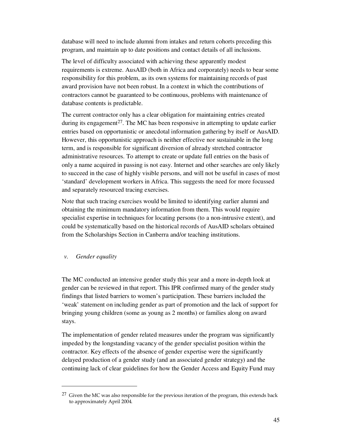database will need to include alumni from intakes and return cohorts preceding this program, and maintain up to date positions and contact details of all inclusions.

The level of difficulty associated with achieving these apparently modest requirements is extreme. AusAID (both in Africa and corporately) needs to bear some responsibility for this problem, as its own systems for maintaining records of past award provision have not been robust. In a context in which the contributions of contractors cannot be guaranteed to be continuous, problems with maintenance of database contents is predictable.

The current contractor only has a clear obligation for maintaining entries created during its engagement<sup>27</sup>. The MC has been responsive in attempting to update earlier entries based on opportunistic or anecdotal information gathering by itself or AusAID. However, this opportunistic approach is neither effective nor sustainable in the long term, and is responsible for significant diversion of already stretched contractor administrative resources. To attempt to create or update full entries on the basis of only a name acquired in passing is not easy. Internet and other searches are only likely to succeed in the case of highly visible persons, and will not be useful in cases of most 'standard' development workers in Africa. This suggests the need for more focussed and separately resourced tracing exercises.

Note that such tracing exercises would be limited to identifying earlier alumni and obtaining the minimum mandatory information from them. This would require specialist expertise in techniques for locating persons (to a non-intrusive extent), and could be systematically based on the historical records of AusAID scholars obtained from the Scholarships Section in Canberra and/or teaching institutions.

*v. Gender equality* 

 $\overline{a}$ 

The MC conducted an intensive gender study this year and a more in-depth look at gender can be reviewed in that report. This IPR confirmed many of the gender study findings that listed barriers to women's participation. These barriers included the 'weak' statement on including gender as part of promotion and the lack of support for bringing young children (some as young as 2 months) or families along on award stays.

The implementation of gender related measures under the program was significantly impeded by the longstanding vacancy of the gender specialist position within the contractor. Key effects of the absence of gender expertise were the significantly delayed production of a gender study (and an associated gender strategy) and the continuing lack of clear guidelines for how the Gender Access and Equity Fund may

 $27$  Given the MC was also responsible for the previous iteration of the program, this extends back to approximately April 2004.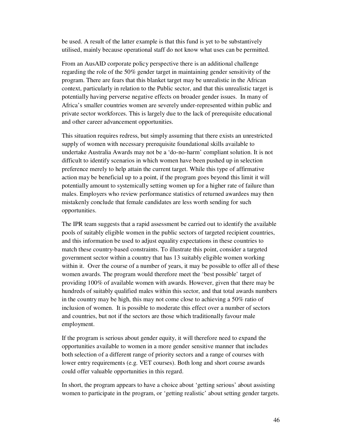be used. A result of the latter example is that this fund is yet to be substantively utilised, mainly because operational staff do not know what uses can be permitted.

From an AusAID corporate policy perspective there is an additional challenge regarding the role of the 50% gender target in maintaining gender sensitivity of the program. There are fears that this blanket target may be unrealistic in the African context, particularly in relation to the Public sector, and that this unrealistic target is potentially having perverse negative effects on broader gender issues. In many of Africa's smaller countries women are severely under-represented within public and private sector workforces. This is largely due to the lack of prerequisite educational and other career advancement opportunities.

This situation requires redress, but simply assuming that there exists an unrestricted supply of women with necessary prerequisite foundational skills available to undertake Australia Awards may not be a 'do-no-harm' compliant solution. It is not difficult to identify scenarios in which women have been pushed up in selection preference merely to help attain the current target. While this type of affirmative action may be beneficial up to a point, if the program goes beyond this limit it will potentially amount to systemically setting women up for a higher rate of failure than males. Employers who review performance statistics of returned awardees may then mistakenly conclude that female candidates are less worth sending for such opportunities.

The IPR team suggests that a rapid assessment be carried out to identify the available pools of suitably eligible women in the public sectors of targeted recipient countries, and this information be used to adjust equality expectations in these countries to match these country-based constraints. To illustrate this point, consider a targeted government sector within a country that has 13 suitably eligible women working within it. Over the course of a number of years, it may be possible to offer all of these women awards. The program would therefore meet the 'best possible' target of providing 100% of available women with awards. However, given that there may be hundreds of suitably qualified males within this sector, and that total awards numbers in the country may be high, this may not come close to achieving a 50% ratio of inclusion of women. It is possible to moderate this effect over a number of sectors and countries, but not if the sectors are those which traditionally favour male employment.

If the program is serious about gender equity, it will therefore need to expand the opportunities available to women in a more gender sensitive manner that includes both selection of a different range of priority sectors and a range of courses with lower entry requirements (e.g. VET courses). Both long and short course awards could offer valuable opportunities in this regard.

In short, the program appears to have a choice about 'getting serious' about assisting women to participate in the program, or 'getting realistic' about setting gender targets.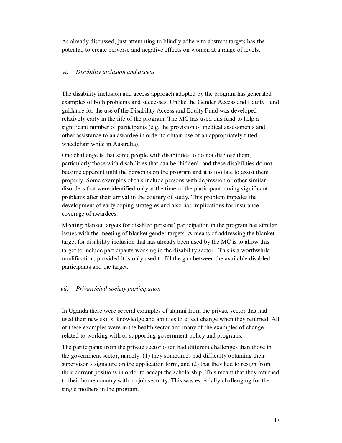As already discussed, just attempting to blindly adhere to abstract targets has the potential to create perverse and negative effects on women at a range of levels.

## *vi. Disability inclusion and access*

The disability inclusion and access approach adopted by the program has generated examples of both problems and successes. Unlike the Gender Access and Equity Fund guidance for the use of the Disability Access and Equity Fund was developed relatively early in the life of the program. The MC has used this fund to help a significant number of participants (e.g. the provision of medical assessments and other assistance to an awardee in order to obtain use of an appropriately fitted wheelchair while in Australia).

One challenge is that some people with disabilities to do not disclose them, particularly those with disabilities that can be 'hidden', and these disabilities do not become apparent until the person is on the program and it is too late to assist them properly. Some examples of this include persons with depression or other similar disorders that were identified only at the time of the participant having significant problems after their arrival in the country of study. This problem impedes the development of early coping strategies and also has implications for insurance coverage of awardees.

Meeting blanket targets for disabled persons' participation in the program has similar issues with the meeting of blanket gender targets. A means of addressing the blanket target for disability inclusion that has already been used by the MC is to allow this target to include participants working in the disability sector. This is a worthwhile modification, provided it is only used to fill the gap between the available disabled participants and the target.

## *vii. Private/civil society participation*

In Uganda there were several examples of alumni from the private sector that had used their new skills, knowledge and abilities to effect change when they returned. All of these examples were in the health sector and many of the examples of change related to working with or supporting government policy and programs.

The participants from the private sector often had different challenges than those in the government sector, namely: (1) they sometimes had difficulty obtaining their supervisor's signature on the application form, and (2) that they had to resign from their current positions in order to accept the scholarship. This meant that they returned to their home country with no job security. This was especially challenging for the single mothers in the program.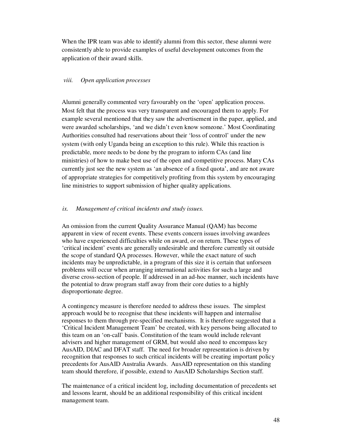When the IPR team was able to identify alumni from this sector, these alumni were consistently able to provide examples of useful development outcomes from the application of their award skills.

#### *viii. Open application processes*

Alumni generally commented very favourably on the 'open' application process. Most felt that the process was very transparent and encouraged them to apply. For example several mentioned that they saw the advertisement in the paper, applied, and were awarded scholarships, 'and we didn't even know someone.' Most Coordinating Authorities consulted had reservations about their 'loss of control' under the new system (with only Uganda being an exception to this rule). While this reaction is predictable, more needs to be done by the program to inform CAs (and line ministries) of how to make best use of the open and competitive process. Many CAs currently just see the new system as 'an absence of a fixed quota', and are not aware of appropriate strategies for competitively profiting from this system by encouraging line ministries to support submission of higher quality applications.

#### *ix. Management of critical incidents and study issues.*

An omission from the current Quality Assurance Manual (QAM) has become apparent in view of recent events. These events concern issues involving awardees who have experienced difficulties while on award, or on return. These types of 'critical incident' events are generally undesirable and therefore currently sit outside the scope of standard QA processes. However, while the exact nature of such incidents may be unpredictable, in a program of this size it is certain that unforseen problems will occur when arranging international activities for such a large and diverse cross-section of people. If addressed in an ad-hoc manner, such incidents have the potential to draw program staff away from their core duties to a highly disproportionate degree.

A contingency measure is therefore needed to address these issues. The simplest approach would be to recognise that these incidents will happen and internalise responses to them through pre-specified mechanisms. It is therefore suggested that a 'Critical Incident Management Team' be created, with key persons being allocated to this team on an 'on-call' basis. Constitution of the team would include relevant advisers and higher management of GRM, but would also need to encompass key AusAID, DIAC and DFAT staff. The need for broader representation is driven by recognition that responses to such critical incidents will be creating important policy precedents for AusAID Australia Awards. AusAID representation on this standing team should therefore, if possible, extend to AusAID Scholarships Section staff.

The maintenance of a critical incident log, including documentation of precedents set and lessons learnt, should be an additional responsibility of this critical incident management team.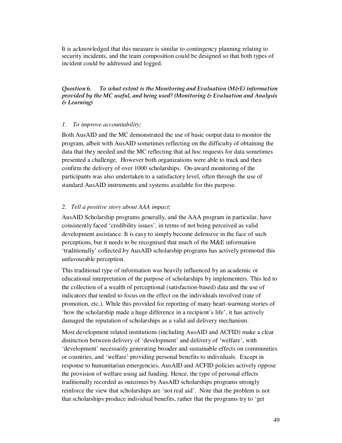It is acknowledged that this measure is similar to contingency planning relating to security incidents, and the team composition could be designed so that both types of incident could be addressed and logged.

*Question 6. To what extent is the Monitoring and Evaluation (M&E) information provided by the MC useful, and being used? (Monitoring & Evaluation and Analysis & Learning)* 

#### *1. To improve accountability;*

Both AusAID and the MC demonstrated the use of basic output data to monitor the program, albeit with AusAID sometimes reflecting on the difficulty of obtaining the data that they needed and the MC reflecting that ad hoc requests for data sometimes presented a challenge. However both organizations were able to track and then confirm the delivery of over 1000 scholarships. On-award monitoring of the participants was also undertaken to a satisfactory level, often through the use of standard AusAID instruments and systems available for this purpose.

#### *2. Tell a positive story about AAA impact;*

AusAID Scholarship programs generally, and the AAA program in particular, have consistently faced 'credibility issues', in terms of not being perceived as valid development assistance. It is easy to simply become defensive in the face of such perceptions, but it needs to be recognised that much of the M&E information 'traditionally' collected by AusAID scholarship programs has actively promoted this unfavourable perception.

This traditional type of information was heavily influenced by an academic or educational interpretation of the purpose of scholarships by implementers. This led to the collection of a wealth of perceptional (satisfaction-based) data and the use of indicators that tended to focus on the effect on the individuals involved (rate of promotion, etc.). While this provided for reporting of many heart-warming stories of 'how the scholarship made a huge difference in a recipient's life', it has actively damaged the reputation of scholarships as a valid aid delivery mechanism.

Most development related institutions (including AusAID and ACFID) make a clear distinction between delivery of 'development' and delivery of 'welfare', with 'development' necessarily generating broader and sustainable effects on communities or countries, and 'welfare' providing personal benefits to individuals. Except in response to humanitarian emergencies, AusAID and ACFID policies actively oppose the provision of welfare using aid funding. Hence, the type of personal effects traditionally recorded as outcomes by AusAID scholarships programs strongly reinforce the view that scholarships are 'not real aid'. Note that the problem is not that scholarships produce individual benefits, rather that the programs try to 'get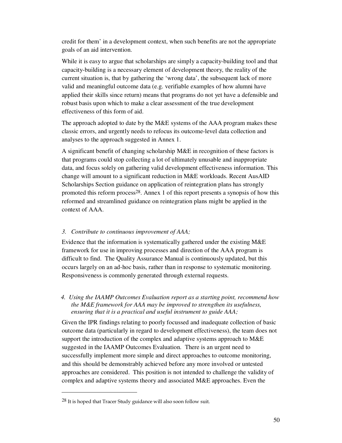credit for them' in a development context, when such benefits are not the appropriate goals of an aid intervention.

While it is easy to argue that scholarships are simply a capacity-building tool and that capacity-building is a necessary element of development theory, the reality of the current situation is, that by gathering the 'wrong data', the subsequent lack of more valid and meaningful outcome data (e.g. verifiable examples of how alumni have applied their skills since return) means that programs do not yet have a defensible and robust basis upon which to make a clear assessment of the true development effectiveness of this form of aid.

The approach adopted to date by the M&E systems of the AAA program makes these classic errors, and urgently needs to refocus its outcome-level data collection and analyses to the approach suggested in Annex 1.

A significant benefit of changing scholarship M&E in recognition of these factors is that programs could stop collecting a lot of ultimately unusable and inappropriate data, and focus solely on gathering valid development effectiveness information. This change will amount to a significant reduction in M&E workloads. Recent AusAID Scholarships Section guidance on application of reintegration plans has strongly promoted this reform process28. Annex 1 of this report presents a synopsis of how this reformed and streamlined guidance on reintegration plans might be applied in the context of AAA.

## *3. Contribute to continuous improvement of AAA;*

Evidence that the information is systematically gathered under the existing M&E framework for use in improving processes and direction of the AAA program is difficult to find. The Quality Assurance Manual is continuously updated, but this occurs largely on an ad-hoc basis, rather than in response to systematic monitoring. Responsiveness is commonly generated through external requests.

#### *4. Using the IAAMP Outcomes Evaluation report as a starting point, recommend how the M&E framework for AAA may be improved to strengthen its usefulness, ensuring that it is a practical and useful instrument to guide AAA;*

Given the IPR findings relating to poorly focussed and inadequate collection of basic outcome data (particularly in regard to development effectiveness), the team does not support the introduction of the complex and adaptive systems approach to M&E suggested in the IAAMP Outcomes Evaluation. There is an urgent need to successfully implement more simple and direct approaches to outcome monitoring, and this should be demonstrably achieved before any more involved or untested approaches are considered. This position is not intended to challenge the validity of complex and adaptive systems theory and associated M&E approaches. Even the

 $\overline{a}$ 

 $28$  It is hoped that Tracer Study guidance will also soon follow suit.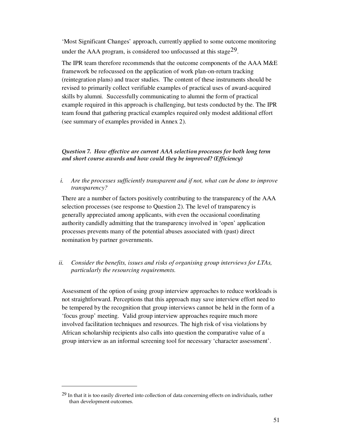'Most Significant Changes' approach, currently applied to some outcome monitoring under the AAA program, is considered too unfocussed at this stage<sup>29</sup>.

The IPR team therefore recommends that the outcome components of the AAA M&E framework be refocussed on the application of work plan-on-return tracking (reintegration plans) and tracer studies. The content of these instruments should be revised to primarily collect verifiable examples of practical uses of award-acquired skills by alumni. Successfully communicating to alumni the form of practical example required in this approach is challenging, but tests conducted by the. The IPR team found that gathering practical examples required only modest additional effort (see summary of examples provided in Annex 2).

## *Question 7. How effective are current AAA selection processes for both long term and short course awards and how could they be improved? (Efficiency)*

*i. Are the processes sufficiently transparent and if not, what can be done to improve transparency?* 

There are a number of factors positively contributing to the transparency of the AAA selection processes (see response to Question 2). The level of transparency is generally appreciated among applicants, with even the occasional coordinating authority candidly admitting that the transparency involved in 'open' application processes prevents many of the potential abuses associated with (past) direct nomination by partner governments.

*ii. Consider the benefits, issues and risks of organising group interviews for LTAs, particularly the resourcing requirements.* 

Assessment of the option of using group interview approaches to reduce workloads is not straightforward. Perceptions that this approach may save interview effort need to be tempered by the recognition that group interviews cannot be held in the form of a 'focus group' meeting. Valid group interview approaches require much more involved facilitation techniques and resources. The high risk of visa violations by African scholarship recipients also calls into question the comparative value of a group interview as an informal screening tool for necessary 'character assessment'.

 $\overline{a}$ 

<sup>&</sup>lt;sup>29</sup> In that it is too easily diverted into collection of data concerning effects on individuals, rather than development outcomes.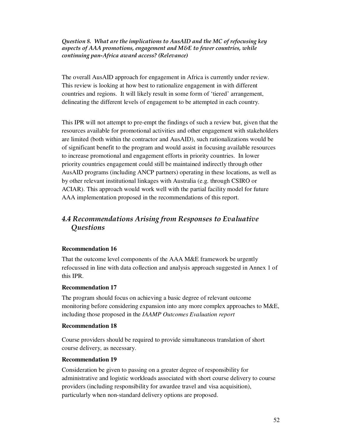*Question 8. What are the implications to AusAID and the MC of refocusing key aspects of AAA promotions, engagement and M&E to fewer countries, while continuing pan-Africa award access? (Relevance)* 

The overall AusAID approach for engagement in Africa is currently under review. This review is looking at how best to rationalize engagement in with different countries and regions. It will likely result in some form of 'tiered' arrangement, delineating the different levels of engagement to be attempted in each country.

This IPR will not attempt to pre-empt the findings of such a review but, given that the resources available for promotional activities and other engagement with stakeholders are limited (both within the contractor and AusAID), such rationalizations would be of significant benefit to the program and would assist in focusing available resources to increase promotional and engagement efforts in priority countries. In lower priority countries engagement could still be maintained indirectly through other AusAID programs (including ANCP partners) operating in these locations, as well as by other relevant institutional linkages with Australia (e.g. through CSIRO or ACIAR). This approach would work well with the partial facility model for future AAA implementation proposed in the recommendations of this report.

# *4.4 Recommendations Arising from Responses to Evaluative Questions*

## **Recommendation 16**

That the outcome level components of the AAA M&E framework be urgently refocussed in line with data collection and analysis approach suggested in Annex 1 of this IPR.

## **Recommendation 17**

The program should focus on achieving a basic degree of relevant outcome monitoring before considering expansion into any more complex approaches to M&E, including those proposed in the *IAAMP Outcomes Evaluation report* 

## **Recommendation 18**

Course providers should be required to provide simultaneous translation of short course delivery, as necessary.

## **Recommendation 19**

Consideration be given to passing on a greater degree of responsibility for administrative and logistic workloads associated with short course delivery to course providers (including responsibility for awardee travel and visa acquisition), particularly when non-standard delivery options are proposed.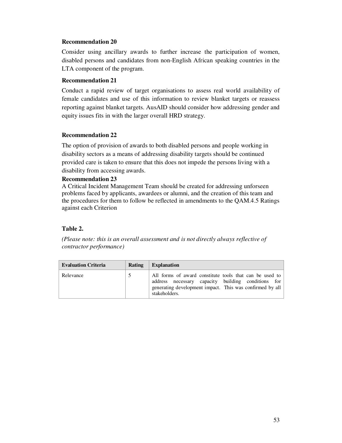## **Recommendation 20**

Consider using ancillary awards to further increase the participation of women, disabled persons and candidates from non-English African speaking countries in the LTA component of the program.

## **Recommendation 21**

Conduct a rapid review of target organisations to assess real world availability of female candidates and use of this information to review blanket targets or reassess reporting against blanket targets. AusAID should consider how addressing gender and equity issues fits in with the larger overall HRD strategy.

## **Recommendation 22**

The option of provision of awards to both disabled persons and people working in disability sectors as a means of addressing disability targets should be continued provided care is taken to ensure that this does not impede the persons living with a disability from accessing awards.

## **Recommendation 23**

A Critical Incident Management Team should be created for addressing unforseen problems faced by applicants, awardees or alumni, and the creation of this team and the procedures for them to follow be reflected in amendments to the QAM.4.5 Ratings against each Criterion

## **Table 2.**

*(Please note: this is an overall assessment and is not directly always reflective of contractor performance)* 

| <b>Evaluation Criteria</b> | Rating | <b>Explanation</b>                                                                                                                                                                         |
|----------------------------|--------|--------------------------------------------------------------------------------------------------------------------------------------------------------------------------------------------|
| Relevance                  |        | All forms of award constitute tools that can be used to<br>address necessary capacity building conditions for<br>generating development impact. This was confirmed by all<br>stakeholders. |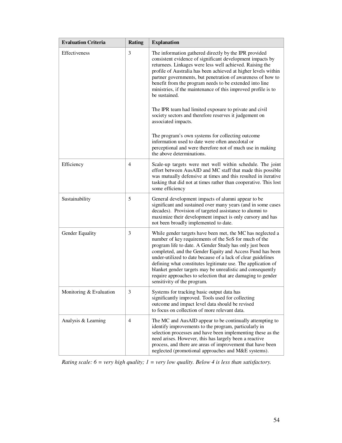| <b>Evaluation Criteria</b> | <b>Rating</b> | <b>Explanation</b>                                                                                                                                                                                                                                                                                                                                                                                                                                                                                                                                                                                                                                                                                              |
|----------------------------|---------------|-----------------------------------------------------------------------------------------------------------------------------------------------------------------------------------------------------------------------------------------------------------------------------------------------------------------------------------------------------------------------------------------------------------------------------------------------------------------------------------------------------------------------------------------------------------------------------------------------------------------------------------------------------------------------------------------------------------------|
| <b>Effectiveness</b>       | 3             | The information gathered directly by the IPR provided<br>consistent evidence of significant development impacts by<br>returnees. Linkages were less well achieved. Raising the<br>profile of Australia has been achieved at higher levels within<br>partner governments, but penetration of awareness of how to<br>benefit from the program needs to be extended into line<br>ministries, if the maintenance of this improved profile is to<br>be sustained.<br>The IPR team had limited exposure to private and civil<br>society sectors and therefore reserves it judgement on<br>associated impacts.<br>The program's own systems for collecting outcome<br>information used to date were often anecdotal or |
|                            |               | perceptional and were therefore not of much use in making<br>the above determinations.                                                                                                                                                                                                                                                                                                                                                                                                                                                                                                                                                                                                                          |
| Efficiency                 | 4             | Scale-up targets were met well within schedule. The joint<br>effort between AusAID and MC staff that made this possible<br>was mutually defensive at times and this resulted in iterative<br>tasking that did not at times rather than cooperative. This lost<br>some efficiency                                                                                                                                                                                                                                                                                                                                                                                                                                |
| Sustainability             | 5             | General development impacts of alumni appear to be<br>significant and sustained over many years (and in some cases<br>decades). Provision of targeted assistance to alumni to<br>maximize their development impact is only cursory and has<br>not been broadly implemented to date.                                                                                                                                                                                                                                                                                                                                                                                                                             |
| Gender Equality            | 3             | While gender targets have been met, the MC has neglected a<br>number of key requirements of the SoS for much of the<br>program life to date. A Gender Study has only just been<br>completed, and the Gender Equity and Access Fund has been<br>under-utilized to date because of a lack of clear guidelines<br>defining what constitutes legitimate use. The application of<br>blanket gender targets may be unrealistic and consequently<br>require approaches to selection that are damaging to gender<br>sensitivity of the program.                                                                                                                                                                         |
| Monitoring & Evaluation    | 3             | Systems for tracking basic output data has<br>significantly improved. Tools used for collecting<br>outcome and impact level data should be revised<br>to focus on collection of more relevant data.                                                                                                                                                                                                                                                                                                                                                                                                                                                                                                             |
| Analysis & Learning        | 4             | The MC and AusAID appear to be continually attempting to<br>identify improvements to the program, particularly in<br>selection processes and have been implementing these as the<br>need arises. However, this has largely been a reactive<br>process, and there are areas of improvement that have been<br>neglected (promotional approaches and M&E systems).                                                                                                                                                                                                                                                                                                                                                 |

*Rating scale: 6 = very high quality; 1 = very low quality. Below 4 is less than satisfactory.*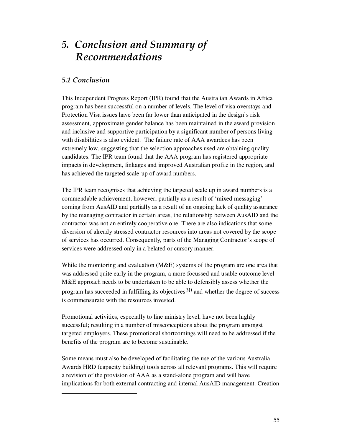# *5. Conclusion and Summary of Recommendations*

## *5.1 Conclusion*

 $\ddot{\phantom{a}}$ 

This Independent Progress Report (IPR) found that the Australian Awards in Africa program has been successful on a number of levels. The level of visa overstays and Protection Visa issues have been far lower than anticipated in the design's risk assessment, approximate gender balance has been maintained in the award provision and inclusive and supportive participation by a significant number of persons living with disabilities is also evident. The failure rate of AAA awardees has been extremely low, suggesting that the selection approaches used are obtaining quality candidates. The IPR team found that the AAA program has registered appropriate impacts in development, linkages and improved Australian profile in the region, and has achieved the targeted scale-up of award numbers.

The IPR team recognises that achieving the targeted scale up in award numbers is a commendable achievement, however, partially as a result of 'mixed messaging' coming from AusAID and partially as a result of an ongoing lack of quality assurance by the managing contractor in certain areas, the relationship between AusAID and the contractor was not an entirely cooperative one. There are also indications that some diversion of already stressed contractor resources into areas not covered by the scope of services has occurred. Consequently, parts of the Managing Contractor's scope of services were addressed only in a belated or cursory manner.

While the monitoring and evaluation (M&E) systems of the program are one area that was addressed quite early in the program, a more focussed and usable outcome level M&E approach needs to be undertaken to be able to defensibly assess whether the program has succeeded in fulfilling its objectives  $30$  and whether the degree of success is commensurate with the resources invested.

Promotional activities, especially to line ministry level, have not been highly successful; resulting in a number of misconceptions about the program amongst targeted employers. These promotional shortcomings will need to be addressed if the benefits of the program are to become sustainable.

Some means must also be developed of facilitating the use of the various Australia Awards HRD (capacity building) tools across all relevant programs. This will require a revision of the provision of AAA as a stand-alone program and will have implications for both external contracting and internal AusAID management. Creation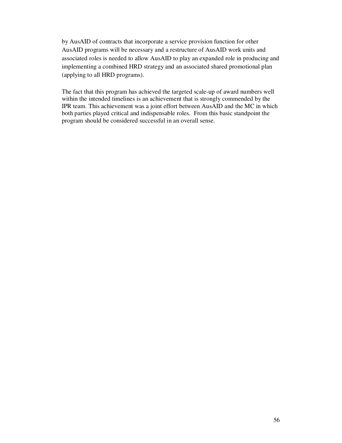by AusAID of contracts that incorporate a service provision function for other AusAID programs will be necessary and a restructure of AusAID work units and associated roles is needed to allow AusAID to play an expanded role in producing and implementing a combined HRD strategy and an associated shared promotional plan (applying to all HRD programs).

The fact that this program has achieved the targeted scale-up of award numbers well within the intended timelines is an achievement that is strongly commended by the IPR team. This achievement was a joint effort between AusAID and the MC in which both parties played critical and indispensable roles. From this basic standpoint the program should be considered successful in an overall sense.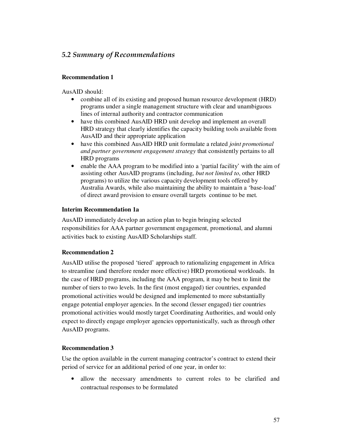# *5.2 Summary of Recommendations*

## **Recommendation 1**

AusAID should:

- combine all of its existing and proposed human resource development (HRD) programs under a single management structure with clear and unambiguous lines of internal authority and contractor communication
- have this combined AusAID HRD unit develop and implement an overall HRD strategy that clearly identifies the capacity building tools available from AusAID and their appropriate application
- have this combined AusAID HRD unit formulate a related *joint promotional and partner government engagement strategy* that consistently pertains to all HRD programs
- enable the AAA program to be modified into a 'partial facility' with the aim of assisting other AusAID programs (including, *but not limited to*, other HRD programs) to utilize the various capacity development tools offered by Australia Awards, while also maintaining the ability to maintain a 'base-load' of direct award provision to ensure overall targets continue to be met.

## **Interim Recommendation 1a**

AusAID immediately develop an action plan to begin bringing selected responsibilities for AAA partner government engagement, promotional, and alumni activities back to existing AusAID Scholarships staff.

## **Recommendation 2**

AusAID utilise the proposed 'tiered' approach to rationalizing engagement in Africa to streamline (and therefore render more effective) HRD promotional workloads. In the case of HRD programs, including the AAA program, it may be best to limit the number of tiers to two levels. In the first (most engaged) tier countries, expanded promotional activities would be designed and implemented to more substantially engage potential employer agencies. In the second (lesser engaged) tier countries promotional activities would mostly target Coordinating Authorities, and would only expect to directly engage employer agencies opportunistically, such as through other AusAID programs.

## **Recommendation 3**

Use the option available in the current managing contractor's contract to extend their period of service for an additional period of one year, in order to:

• allow the necessary amendments to current roles to be clarified and contractual responses to be formulated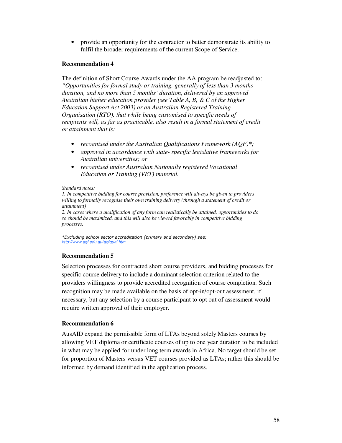• provide an opportunity for the contractor to better demonstrate its ability to fulfil the broader requirements of the current Scope of Service.

## **Recommendation 4**

The definition of Short Course Awards under the AA program be readjusted to: *"Opportunities for formal study or training, generally of less than 3 months duration, and no more than 5 months' duration, delivered by an approved Australian higher education provider (see Table A, B, & C of the Higher Education Support Act 2003) or an Australian Registered Training Organisation (RTO), that while being customised to specific needs of recipients will, as far as practicable, also result in a formal statement of credit or attainment that is:* 

- *recognised under the Australian Qualifications Framework (AQF)\*;*
- *approved in accordance with state- specific legislative frameworks for Australian universities; or*
- *recognised under Australian Nationally registered Vocational Education or Training (VET) material.*

#### *Standard notes:*

*1. In competitive bidding for course provision, preference will always be given to providers willing to formally recognise their own training delivery (through a statement of credit or attainment)*

*2. In cases where a qualification of any form can realistically be attained, opportunities to do so should be maximized. and this will also be viewed favorably in competitive bidding processes.* 

*\*Excluding school sector accreditation (primary and secondary) see: http://www.aqf.edu.au/aqfqual.htm*

## **Recommendation 5**

Selection processes for contracted short course providers, and bidding processes for specific course delivery to include a dominant selection criterion related to the providers willingness to provide accredited recognition of course completion. Such recognition may be made available on the basis of opt-in/opt-out assessment, if necessary, but any selection by a course participant to opt out of assessment would require written approval of their employer.

## **Recommendation 6**

AusAID expand the permissible form of LTAs beyond solely Masters courses by allowing VET diploma or certificate courses of up to one year duration to be included in what may be applied for under long term awards in Africa. No target should be set for proportion of Masters versus VET courses provided as LTAs; rather this should be informed by demand identified in the application process.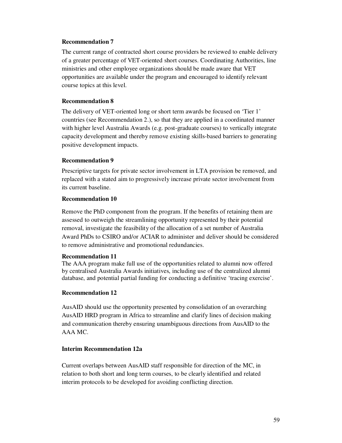## **Recommendation 7**

The current range of contracted short course providers be reviewed to enable delivery of a greater percentage of VET-oriented short courses. Coordinating Authorities, line ministries and other employee organizations should be made aware that VET opportunities are available under the program and encouraged to identify relevant course topics at this level.

## **Recommendation 8**

The delivery of VET-oriented long or short term awards be focused on 'Tier 1' countries (see Recommendation 2.), so that they are applied in a coordinated manner with higher level Australia Awards (e.g. post-graduate courses) to vertically integrate capacity development and thereby remove existing skills-based barriers to generating positive development impacts.

## **Recommendation 9**

Prescriptive targets for private sector involvement in LTA provision be removed, and replaced with a stated aim to progressively increase private sector involvement from its current baseline.

## **Recommendation 10**

Remove the PhD component from the program. If the benefits of retaining them are assessed to outweigh the streamlining opportunity represented by their potential removal, investigate the feasibility of the allocation of a set number of Australia Award PhDs to CSIRO and/or ACIAR to administer and deliver should be considered to remove administrative and promotional redundancies.

## **Recommendation 11**

The AAA program make full use of the opportunities related to alumni now offered by centralised Australia Awards initiatives, including use of the centralized alumni database, and potential partial funding for conducting a definitive 'tracing exercise'.

## **Recommendation 12**

AusAID should use the opportunity presented by consolidation of an overarching AusAID HRD program in Africa to streamline and clarify lines of decision making and communication thereby ensuring unambiguous directions from AusAID to the AAA MC.

## **Interim Recommendation 12a**

Current overlaps between AusAID staff responsible for direction of the MC, in relation to both short and long term courses, to be clearly identified and related interim protocols to be developed for avoiding conflicting direction.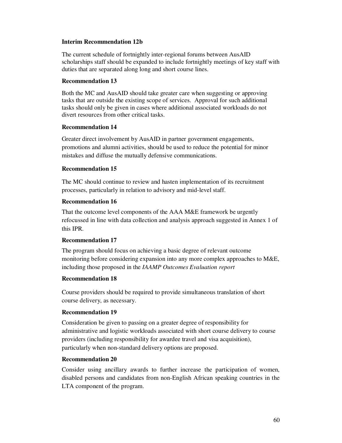## **Interim Recommendation 12b**

The current schedule of fortnightly inter-regional forums between AusAID scholarships staff should be expanded to include fortnightly meetings of key staff with duties that are separated along long and short course lines.

#### **Recommendation 13**

Both the MC and AusAID should take greater care when suggesting or approving tasks that are outside the existing scope of services. Approval for such additional tasks should only be given in cases where additional associated workloads do not divert resources from other critical tasks.

#### **Recommendation 14**

Greater direct involvement by AusAID in partner government engagements, promotions and alumni activities, should be used to reduce the potential for minor mistakes and diffuse the mutually defensive communications.

## **Recommendation 15**

The MC should continue to review and hasten implementation of its recruitment processes, particularly in relation to advisory and mid-level staff.

## **Recommendation 16**

That the outcome level components of the AAA M&E framework be urgently refocussed in line with data collection and analysis approach suggested in Annex 1 of this IPR.

## **Recommendation 17**

The program should focus on achieving a basic degree of relevant outcome monitoring before considering expansion into any more complex approaches to M&E, including those proposed in the *IAAMP Outcomes Evaluation report* 

## **Recommendation 18**

Course providers should be required to provide simultaneous translation of short course delivery, as necessary.

## **Recommendation 19**

Consideration be given to passing on a greater degree of responsibility for administrative and logistic workloads associated with short course delivery to course providers (including responsibility for awardee travel and visa acquisition), particularly when non-standard delivery options are proposed.

## **Recommendation 20**

Consider using ancillary awards to further increase the participation of women, disabled persons and candidates from non-English African speaking countries in the LTA component of the program.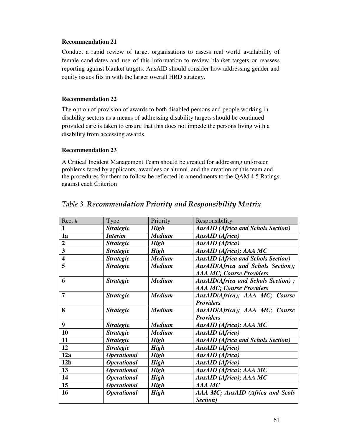## **Recommendation 21**

Conduct a rapid review of target organisations to assess real world availability of female candidates and use of this information to review blanket targets or reassess reporting against blanket targets. AusAID should consider how addressing gender and equity issues fits in with the larger overall HRD strategy.

## **Recommendation 22**

The option of provision of awards to both disabled persons and people working in disability sectors as a means of addressing disability targets should be continued provided care is taken to ensure that this does not impede the persons living with a disability from accessing awards.

## **Recommendation 23**

A Critical Incident Management Team should be created for addressing unforseen problems faced by applicants, awardees or alumni, and the creation of this team and the procedures for them to follow be reflected in amendments to the QAM.4.5 Ratings against each Criterion

| Rec. #                  | Type                      | Priority      | Responsibility                            |
|-------------------------|---------------------------|---------------|-------------------------------------------|
| $\mathbf{1}$            | <b>Strategic</b>          | <b>High</b>   | <b>AusAID (Africa and Schols Section)</b> |
| 1a                      | <i>Interim</i>            | <b>Medium</b> | <b>AusAID</b> (Africa)                    |
| $\overline{2}$          | <b>Strategic</b>          | <b>High</b>   | <b>AusAID</b> (Africa)                    |
| 3                       | <b>Strategic</b>          | <b>High</b>   | AusAID (Africa); AAA MC                   |
| $\overline{\mathbf{4}}$ | <b>Strategic</b>          | <b>Medium</b> | <b>AusAID</b> (Africa and Schols Section) |
| 5                       | <b>Strategic</b>          | <b>Medium</b> | <b>AusAID(Africa and Schols Section);</b> |
|                         |                           |               | <b>AAA MC; Course Providers</b>           |
| 6                       | <b>Strategic</b>          | <b>Medium</b> | AusAID(Africa and Schols Section);        |
|                         |                           |               | <b>AAA MC; Course Providers</b>           |
| $\overline{7}$          | <b>Strategic</b>          | <b>Medium</b> | AusAID(Africa); AAA MC; Course            |
|                         |                           |               | <b>Providers</b>                          |
| 8                       | <b>Strategic</b>          | <b>Medium</b> | AusAID(Africa); AAA MC; Course            |
|                         |                           |               | <b>Providers</b>                          |
| 9                       | <b>Strategic</b>          | <b>Medium</b> | AusAID (Africa); AAA MC                   |
| 10                      | <b>Strategic</b>          | <b>Medium</b> | <b>AusAID</b> (Africa)                    |
| 11                      | <b>Strategic</b>          | <b>High</b>   | <b>AusAID</b> (Africa and Schols Section) |
| 12                      | <b>Strategic</b>          | <b>High</b>   | <b>AusAID</b> (Africa)                    |
| 12a                     | <i><b>Operational</b></i> | <b>High</b>   | <b>AusAID</b> (Africa)                    |
| 12 <sub>b</sub>         | <b>Operational</b>        | <b>High</b>   | <b>AusAID</b> (Africa)                    |
| 13                      | <b>Operational</b>        | <b>High</b>   | AusAID (Africa); AAA MC                   |
| 14                      | <b>Operational</b>        | <b>High</b>   | AusAID (Africa); AAA MC                   |
| 15                      | <b>Operational</b>        | <b>High</b>   | AAA MC                                    |
| 16                      | <b>Operational</b>        | <b>High</b>   | AAA MC; AusAID (Africa and Scols          |
|                         |                           |               | Section)                                  |

## *Table 3. Recommendation Priority and Responsibility Matrix*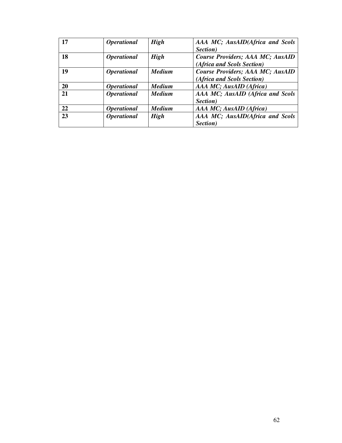| 17 | <i><b>Operational</b></i> | <b>High</b>   | AAA MC; AusAID(Africa and Scols  |
|----|---------------------------|---------------|----------------------------------|
|    |                           |               | Section)                         |
| 18 | <i><b>Operational</b></i> | <b>High</b>   | Course Providers; AAA MC; AusAID |
|    |                           |               | (Africa and Scols Section)       |
| 19 | <i><b>Operational</b></i> | <b>Medium</b> | Course Providers; AAA MC; AusAID |
|    |                           |               | (Africa and Scols Section)       |
| 20 | <i><b>Operational</b></i> | <b>Medium</b> | AAA MC; AusAID (Africa)          |
| 21 | <b>Operational</b>        | <b>Medium</b> | AAA MC; AusAID (Africa and Scols |
|    |                           |               | Section)                         |
| 22 | <i><b>Operational</b></i> | <b>Medium</b> | AAA MC; AusAID (Africa)          |
| 23 | <i><b>Operational</b></i> | <b>High</b>   | AAA MC; AusAID(Africa and Scols  |
|    |                           |               | Section)                         |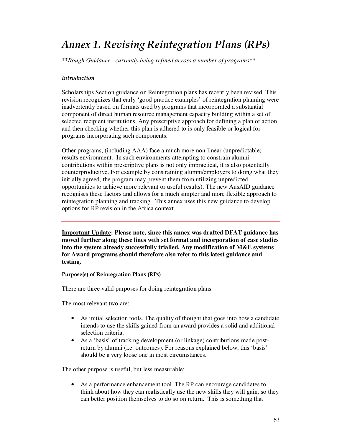# *Annex 1. Revising Reintegration Plans (RPs)*

\*\**Rough Guidance –currently being refined across a number of programs*\*\*

## *Introduction*

Scholarships Section guidance on Reintegration plans has recently been revised. This revision recognizes that early 'good practice examples' of reintegration planning were inadvertently based on formats used by programs that incorporated a substantial component of direct human resource management capacity building within a set of selected recipient institutions. Any prescriptive approach for defining a plan of action and then checking whether this plan is adhered to is only feasible or logical for programs incorporating such components.

Other programs, (including AAA) face a much more non-linear (unpredictable) results environment. In such environments attempting to constrain alumni contributions within prescriptive plans is not only impractical, it is also potentially counterproductive. For example by constraining alumni/employers to doing what they initially agreed, the program may prevent them from utilizing unpredicted opportunities to achieve more relevant or useful results). The new AusAID guidance recognises these factors and allows for a much simpler and more flexible approach to reintegration planning and tracking. This annex uses this new guidance to develop options for RP revision in the Africa context.

**Important Update: Please note, since this annex was drafted DFAT guidance has moved further along these lines with set format and incorporation of case studies into the system already successfully trialled. Any modification of M&E systems for Award programs should therefore also refer to this latest guidance and testing.** 

**Purpose(s) of Reintegration Plans (RPs)** 

There are three valid purposes for doing reintegration plans.

The most relevant two are:

- As initial selection tools. The quality of thought that goes into how a candidate intends to use the skills gained from an award provides a solid and additional selection criteria.
- As a 'basis' of tracking development (or linkage) contributions made postreturn by alumni (i.e. outcomes). For reasons explained below, this 'basis' should be a very loose one in most circumstances.

The other purpose is useful, but less measurable:

• As a performance enhancement tool. The RP can encourage candidates to think about how they can realistically use the new skills they will gain, so they can better position themselves to do so on return. This is something that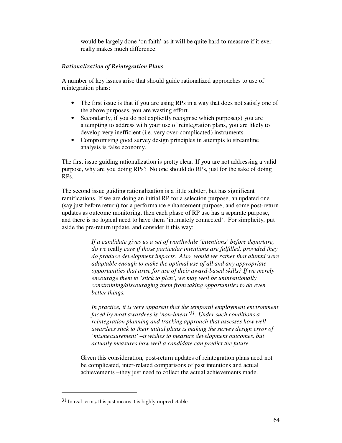would be largely done 'on faith' as it will be quite hard to measure if it ever really makes much difference.

## *Rationalization of Reintegration Plans*

A number of key issues arise that should guide rationalized approaches to use of reintegration plans:

- The first issue is that if you are using RPs in a way that does not satisfy one of the above purposes, you are wasting effort.
- Secondarily, if you do not explicitly recognise which purpose(s) you are attempting to address with your use of reintegration plans, you are likely to develop very inefficient (i.e. very over-complicated) instruments.
- Compromising good survey design principles in attempts to streamline analysis is false economy.

The first issue guiding rationalization is pretty clear. If you are not addressing a valid purpose, why are you doing RPs? No one should do RPs, just for the sake of doing RPs.

The second issue guiding rationalization is a little subtler, but has significant ramifications. If we are doing an initial RP for a selection purpose, an updated one (say just before return) for a performance enhancement purpose, and some post-return updates as outcome monitoring, then each phase of RP use has a separate purpose, and there is no logical need to have them 'intimately connected'. For simplicity, put aside the pre-return update, and consider it this way:

> *If a candidate gives us a set of worthwhile 'intentions' before departure, do we* really *care if those particular intentions are fulfilled, provided they do produce development impacts. Also, would we rather that alumni were adaptable enough to make the optimal use of all and any appropriate opportunities that arise for use of their award-based skills? If we merely encourage them to 'stick to plan', we may well be unintentionally constraining/discouraging them from taking opportunities to do even better things.*

> *In practice, it is very apparent that the temporal employment environment faced by most awardees is 'non-linear'31. Under such conditions a reintegration planning and tracking approach that assesses how well awardees stick to their initial plans is making the survey design error of 'mismeasurement' –it wishes to measure development outcomes, but actually measures how well a candidate can predict the future.*

Given this consideration, post-return updates of reintegration plans need not be complicated, inter-related comparisons of past intentions and actual achievements –they just need to collect the actual achievements made.

 $\overline{a}$ 

<sup>31</sup> In real terms, this just means it is highly unpredictable.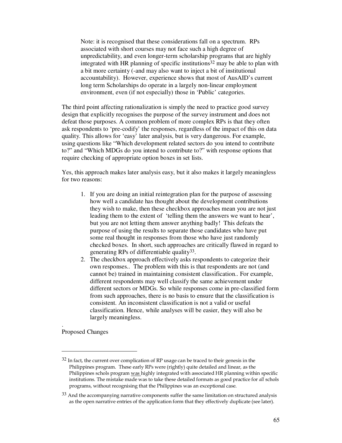Note: it is recognised that these considerations fall on a spectrum. RPs associated with short courses may not face such a high degree of unpredictability, and even longer-term scholarship programs that are highly integrated with HR planning of specific institutions 32 may be able to plan with a bit more certainty (-and may also want to inject a bit of institutional accountability). However, experience shows that most of AusAID's current long term Scholarships do operate in a largely non-linear employment environment, even (if not especially) those in 'Public' categories.

The third point affecting rationalization is simply the need to practice good survey design that explicitly recognises the purpose of the survey instrument and does not defeat those purposes. A common problem of more complex RPs is that they often ask respondents to 'pre-codify' the responses, regardless of the impact of this on data quality. This allows for 'easy' later analysis, but is very dangerous. For example, using questions like "Which development related sectors do you intend to contribute to?" and "Which MDGs do you intend to contribute to?" with response options that require checking of appropriate option boxes in set lists.

Yes, this approach makes later analysis easy, but it also makes it largely meaningless for two reasons:

- 1. If you are doing an initial reintegration plan for the purpose of assessing how well a candidate has thought about the development contributions they wish to make, then these checkbox approaches mean you are not just leading them to the extent of 'telling them the answers we want to hear', but you are not letting them answer anything badly! This defeats the purpose of using the results to separate those candidates who have put some real thought in responses from those who have just randomly checked boxes. In short, such approaches are critically flawed in regard to generating RPs of differentiable quality<sup>33</sup>.
- 2. The checkbox approach effectively asks respondents to categorize their own responses.. The problem with this is that respondents are not (and cannot be) trained in maintaining consistent classification.. For example, different respondents may well classify the same achievement under different sectors or MDGs. So while responses come in pre-classified form from such approaches, there is no basis to ensure that the classification is consistent. An inconsistent classification is not a valid or useful classification. Hence, while analyses will be easier, they will also be largely meaningless.

Proposed Changes

.

 $\ddot{\phantom{a}}$ 

 $32$  In fact, the current over complication of RP usage can be traced to their genesis in the Philippines program. These early RPs were (rightly) quite detailed and linear, as the Philippines schols program was highly integrated with associated HR planning within specific institutions. The mistake made was to take these detailed formats as good practice for *all* schols programs, without recognising that the Philippines was an exceptional case.

 $33$  And the accompanying narrative components suffer the same limitation on structured analysis as the open narrative entries of the application form that they effectively duplicate (see later).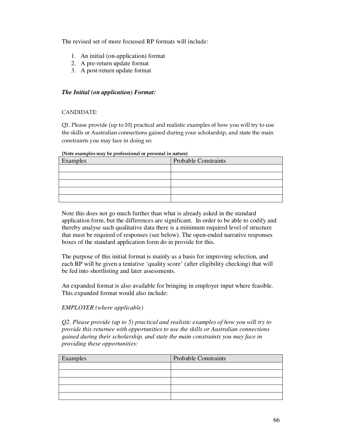The revised set of more focussed RP formats will include:

- 1. An initial (on-application) format
- 2. A pre-return update format
- 3. A post-return update format

## *The Initial (on application) Format:*

## CANDIDATE:

Q1. Please provide (up to 10) practical and realistic examples of how you will try to use the skills or Australian connections gained during your scholarship, and state the main constraints you may face in doing so:

| Examples | <b>Probable Constraints</b> |
|----------|-----------------------------|
|          |                             |
|          |                             |
|          |                             |
|          |                             |
|          |                             |

**(Note examples may be professional or personal in nature)** 

Note this does not go much further than what is already asked in the standard application form, but the differences are significant. In order to be able to codify and thereby analyse such qualitative data there is a minimum required level of structure that must be required of responses (see below). The open-ended narrative responses boxes of the standard application form do in provide for this.

The purpose of this initial format is mainly as a basis for improving selection, and each RP will be given a tentative 'quality score' (after eligibility checking) that will be fed into shortlisting and later assessments.

An expanded format is also available for bringing in employer input where feasible. This expanded format would also include:

## *EMPLOYER (where applicable)*

*Q2. Please provide (up to 5) practical and realistic examples of how you will try to provide this returnee with opportunities to use the skills or Australian connections gained during their scholarship, and state the main constraints you may face in providing these opportunities:* 

| Examples | <b>Probable Constraints</b> |
|----------|-----------------------------|
|          |                             |
|          |                             |
|          |                             |
|          |                             |
|          |                             |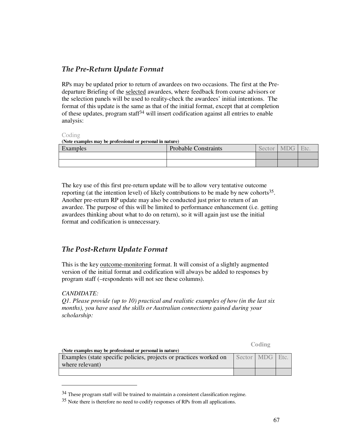## *The Pre-Return Update Format*

RPs may be updated prior to return of awardees on two occasions. The first at the Predeparture Briefing of the selected awardees, where feedback from course advisors or the selection panels will be used to reality-check the awardees' initial intentions. The format of this update is the same as that of the initial format, except that at completion of these updates, program staff34 will insert codification against all entries to enable analysis:

#### Coding

#### **(Note examples may be professional or personal in nature)**

| Examples | <b>Probable Constraints</b> | Sec | M | E <sub>f</sub> |
|----------|-----------------------------|-----|---|----------------|
|          |                             |     |   |                |
|          |                             |     |   |                |

The key use of this first pre-return update will be to allow very tentative outcome reporting (at the intention level) of likely contributions to be made by new cohorts<sup>35</sup>. Another pre-return RP update may also be conducted just prior to return of an awardee. The purpose of this will be limited to performance enhancement (i.e. getting awardees thinking about what to do on return), so it will again just use the initial format and codification is unnecessary.

## *The Post-Return Update Format*

This is the key outcome-monitoring format. It will consist of a slightly augmented version of the initial format and codification will always be added to responses by program staff (–respondents will not see these columns).

## *CANDIDATE:*

 $\overline{a}$ 

*Q1. Please provide (up to 10) practical and realistic examples of how (in the last six months), you have used the skills or Australian connections gained during your scholarship:* 

*<u> Coding</u>*  $\alpha$  *Coding* 

| (Note examples may be professional or personal in nature)          |                 |  |
|--------------------------------------------------------------------|-----------------|--|
| Examples (state specific policies, projects or practices worked on | Sector MDG Etc. |  |
| where relevant)                                                    |                 |  |
|                                                                    |                 |  |

<sup>34</sup> These program staff will be trained to maintain a consistent classification regime.

<sup>35</sup> Note there is therefore no need to codify responses of RPs from all applications.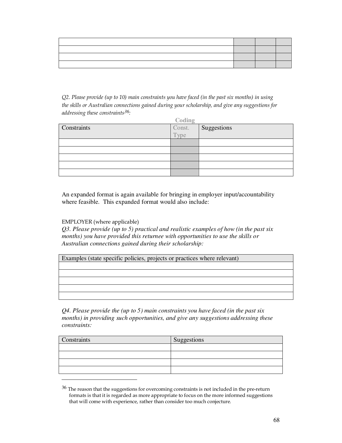*Q2. Please provide (up to 10) main constraints you have faced (in the past six months) in using the skills or Australian connections gained during your scholarship, and give any suggestions for addressing these constraints36:* 

| Coding      |                |             |  |
|-------------|----------------|-------------|--|
| Constraints |                | Suggestions |  |
|             | Const.<br>Type |             |  |
|             |                |             |  |
|             |                |             |  |
|             |                |             |  |
|             |                |             |  |
|             |                |             |  |

An expanded format is again available for bringing in employer input/accountability where feasible. This expanded format would also include:

EMPLOYER (where applicable)

 $\overline{a}$ 

*Q3. Please provide (up to 5) practical and realistic examples of how (in the past six months) you have provided this returnee with opportunities to use the skills or Australian connections gained during their scholarship:* 

Examples (state specific policies, projects or practices where relevant)

*Q4. Please provide the (up to 5) main constraints you have faced (in the past six months) in providing such opportunities, and give any suggestions addressing these constraints:* 

| Constraints | Suggestions |
|-------------|-------------|
|             |             |
|             |             |
|             |             |
|             |             |

<sup>&</sup>lt;sup>36</sup> The reason that the suggestions for overcoming constraints is not included in the pre-return formats is that it is regarded as more appropriate to focus on the more informed suggestions that will come with experience, rather than consider too much conjecture.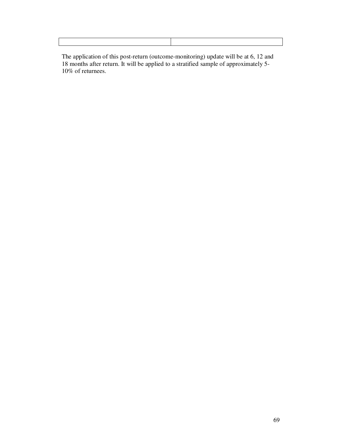The application of this post-return (outcome-monitoring) update will be at 6, 12 and 18 months after return. It will be applied to a stratified sample of approximately 5- 10% of returnees.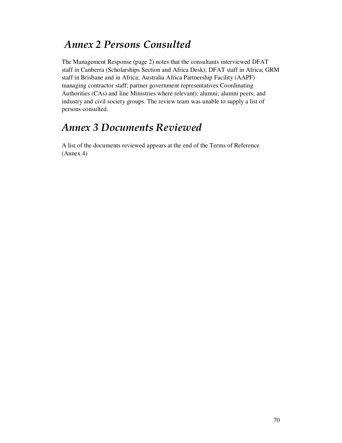# *Annex 2 Persons Consulted*

The Management Response (page 2) notes that the consultants interviewed DFAT staff in Canberra (Scholarships Section and Africa Desk); DFAT staff in Africa; GRM staff in Brisbane and in Africa; Australia Africa Partnership Facility (AAPF) managing contractor staff; partner government representatives Coordinating Authorities (CAs) and line Ministries where relevant); alumni; alumni peers; and industry and civil society groups. The review team was unable to supply a list of persons consulted.

# *Annex 3 Documents Reviewed*

A list of the documents reviewed appears at the end of the Terms of Reference (Annex 4)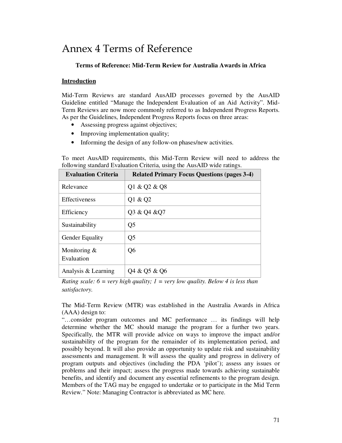# Annex 4 Terms of Reference

## **Terms of Reference: Mid-Term Review for Australia Awards in Africa**

#### **Introduction**

Mid-Term Reviews are standard AusAID processes governed by the AusAID Guideline entitled "Manage the Independent Evaluation of an Aid Activity". Mid-Term Reviews are now more commonly referred to as Independent Progress Reports. As per the Guidelines, Independent Progress Reports focus on three areas:

- Assessing progress against objectives;
- Improving implementation quality;
- Informing the design of any follow-on phases/new activities.

To meet AusAID requirements, this Mid-Term Review will need to address the following standard Evaluation Criteria, using the AusAID wide ratings.

| <b>Evaluation Criteria</b>    | <b>Related Primary Focus Questions (pages 3-4)</b> |
|-------------------------------|----------------------------------------------------|
| Relevance                     | Q1 & Q2 & Q8                                       |
| Effectiveness                 | Q1 & Q2                                            |
| Efficiency                    | Q3 & Q4 & Q7                                       |
| Sustainability                | Q <sub>5</sub>                                     |
| <b>Gender Equality</b>        | Q <sub>5</sub>                                     |
| Monitoring $\&$<br>Evaluation | Q6                                                 |
| Analysis & Learning           | Q4 & Q5 & Q6                                       |

*Rating scale: 6 = very high quality; 1 = very low quality. Below 4 is less than satisfactory.* 

The Mid-Term Review (MTR) was established in the Australia Awards in Africa (AAA) design to:

"…consider program outcomes and MC performance … its findings will help determine whether the MC should manage the program for a further two years. Specifically, the MTR will provide advice on ways to improve the impact and/or sustainability of the program for the remainder of its implementation period, and possibly beyond. It will also provide an opportunity to update risk and sustainability assessments and management. It will assess the quality and progress in delivery of program outputs and objectives (including the PDA 'pilot'); assess any issues or problems and their impact; assess the progress made towards achieving sustainable benefits, and identify and document any essential refinements to the program design. Members of the TAG may be engaged to undertake or to participate in the Mid Term Review." Note: Managing Contractor is abbreviated as MC here.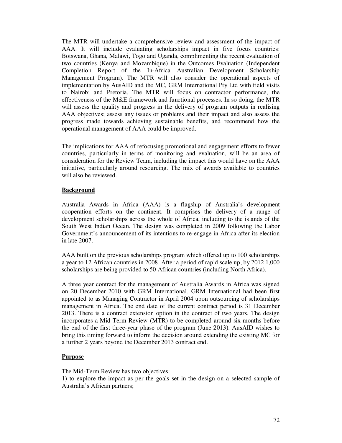The MTR will undertake a comprehensive review and assessment of the impact of AAA. It will include evaluating scholarships impact in five focus countries: Botswana, Ghana, Malawi, Togo and Uganda, complimenting the recent evaluation of two countries (Kenya and Mozambique) in the Outcomes Evaluation (Independent Completion Report of the In-Africa Australian Development Scholarship Management Program). The MTR will also consider the operational aspects of implementation by AusAID and the MC, GRM International Pty Ltd with field visits to Nairobi and Pretoria. The MTR will focus on contractor performance, the effectiveness of the M&E framework and functional processes. In so doing, the MTR will assess the quality and progress in the delivery of program outputs in realising AAA objectives; assess any issues or problems and their impact and also assess the progress made towards achieving sustainable benefits, and recommend how the operational management of AAA could be improved.

The implications for AAA of refocusing promotional and engagement efforts to fewer countries, particularly in terms of monitoring and evaluation, will be an area of consideration for the Review Team, including the impact this would have on the AAA initiative, particularly around resourcing. The mix of awards available to countries will also be reviewed.

## **Background**

Australia Awards in Africa (AAA) is a flagship of Australia's development cooperation efforts on the continent. It comprises the delivery of a range of development scholarships across the whole of Africa, including to the islands of the South West Indian Ocean. The design was completed in 2009 following the Labor Government's announcement of its intentions to re-engage in Africa after its election in late 2007.

AAA built on the previous scholarships program which offered up to 100 scholarships a year to 12 African countries in 2008. After a period of rapid scale up, by 2012 1,000 scholarships are being provided to 50 African countries (including North Africa).

A three year contract for the management of Australia Awards in Africa was signed on 20 December 2010 with GRM International. GRM International had been first appointed to as Managing Contractor in April 2004 upon outsourcing of scholarships management in Africa. The end date of the current contract period is 31 December 2013. There is a contract extension option in the contract of two years. The design incorporates a Mid Term Review (MTR) to be completed around six months before the end of the first three-year phase of the program (June 2013). AusAID wishes to bring this timing forward to inform the decision around extending the existing MC for a further 2 years beyond the December 2013 contract end.

## **Purpose**

The Mid-Term Review has two objectives:

1) to explore the impact as per the goals set in the design on a selected sample of Australia's African partners;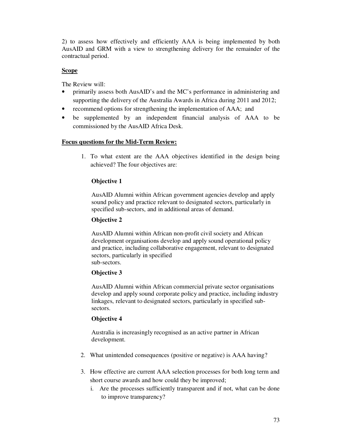2) to assess how effectively and efficiently AAA is being implemented by both AusAID and GRM with a view to strengthening delivery for the remainder of the contractual period.

## **Scope**

The Review will:

- primarily assess both AusAID's and the MC's performance in administering and supporting the delivery of the Australia Awards in Africa during 2011 and 2012;
- recommend options for strengthening the implementation of AAA; and
- be supplemented by an independent financial analysis of AAA to be commissioned by the AusAID Africa Desk.

#### **Focus questions for the Mid-Term Review:**

1. To what extent are the AAA objectives identified in the design being achieved? The four objectives are:

## **Objective 1**

AusAID Alumni within African government agencies develop and apply sound policy and practice relevant to designated sectors, particularly in specified sub-sectors, and in additional areas of demand.

#### **Objective 2**

AusAID Alumni within African non-profit civil society and African development organisations develop and apply sound operational policy and practice, including collaborative engagement, relevant to designated sectors, particularly in specified sub-sectors.

## **Objective 3**

AusAID Alumni within African commercial private sector organisations develop and apply sound corporate policy and practice, including industry linkages, relevant to designated sectors, particularly in specified subsectors.

#### **Objective 4**

Australia is increasingly recognised as an active partner in African development.

- 2. What unintended consequences (positive or negative) is AAA having?
- 3. How effective are current AAA selection processes for both long term and short course awards and how could they be improved;
	- i. Are the processes sufficiently transparent and if not, what can be done to improve transparency?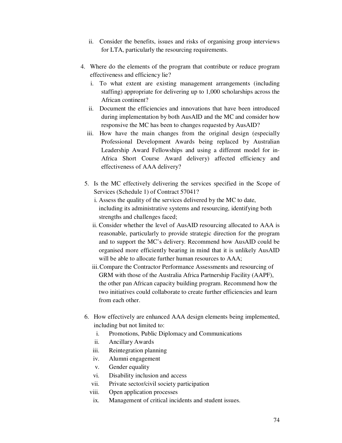- ii. Consider the benefits, issues and risks of organising group interviews for LTA, particularly the resourcing requirements.
- 4. Where do the elements of the program that contribute or reduce program effectiveness and efficiency lie?
	- i. To what extent are existing management arrangements (including staffing) appropriate for delivering up to 1,000 scholarships across the African continent?
	- ii. Document the efficiencies and innovations that have been introduced during implementation by both AusAID and the MC and consider how responsive the MC has been to changes requested by AusAID?
	- iii. How have the main changes from the original design (especially Professional Development Awards being replaced by Australian Leadership Award Fellowships and using a different model for in-Africa Short Course Award delivery) affected efficiency and effectiveness of AAA delivery?
	- 5. Is the MC effectively delivering the services specified in the Scope of Services (Schedule 1) of Contract 57041?
		- i. Assess the quality of the services delivered by the MC to date, including its administrative systems and resourcing, identifying both strengths and challenges faced;
		- ii. Consider whether the level of AusAID resourcing allocated to AAA is reasonable, particularly to provide strategic direction for the program and to support the MC's delivery. Recommend how AusAID could be organised more efficiently bearing in mind that it is unlikely AusAID will be able to allocate further human resources to AAA;
		- iii.Compare the Contractor Performance Assessments and resourcing of GRM with those of the Australia Africa Partnership Facility (AAPF), the other pan African capacity building program. Recommend how the two initiatives could collaborate to create further efficiencies and learn from each other.
	- 6. How effectively are enhanced AAA design elements being implemented, including but not limited to:
		- i. Promotions, Public Diplomacy and Communications
		- ii. Ancillary Awards
		- iii. Reintegration planning
		- iv. Alumni engagement
		- v. Gender equality
		- vi. Disability inclusion and access
		- vii. Private sector/civil society participation
		- viii. Open application processes
		- ix. Management of critical incidents and student issues.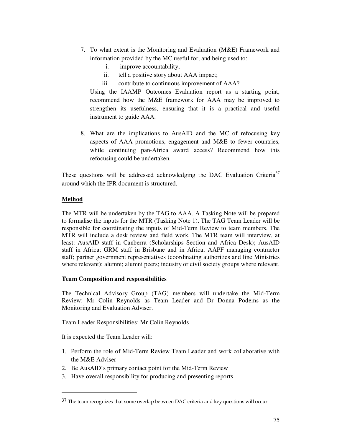- 7. To what extent is the Monitoring and Evaluation (M&E) Framework and information provided by the MC useful for, and being used to:
	- i. improve accountability;
	- ii. tell a positive story about AAA impact;
	- iii. contribute to continuous improvement of AAA?

Using the IAAMP Outcomes Evaluation report as a starting point, recommend how the M&E framework for AAA may be improved to strengthen its usefulness, ensuring that it is a practical and useful instrument to guide AAA.

8. What are the implications to AusAID and the MC of refocusing key aspects of AAA promotions, engagement and M&E to fewer countries, while continuing pan-Africa award access? Recommend how this refocusing could be undertaken.

These questions will be addressed acknowledging the DAC Evaluation Criteria<sup>37</sup> around which the IPR document is structured.

# **Method**

 $\overline{a}$ 

The MTR will be undertaken by the TAG to AAA. A Tasking Note will be prepared to formalise the inputs for the MTR (Tasking Note 1). The TAG Team Leader will be responsible for coordinating the inputs of Mid-Term Review to team members. The MTR will include a desk review and field work. The MTR team will interview, at least: AusAID staff in Canberra (Scholarships Section and Africa Desk); AusAID staff in Africa; GRM staff in Brisbane and in Africa; AAPF managing contractor staff; partner government representatives (coordinating authorities and line Ministries where relevant); alumni; alumni peers; industry or civil society groups where relevant.

## **Team Composition and responsibilities**

The Technical Advisory Group (TAG) members will undertake the Mid-Term Review: Mr Colin Reynolds as Team Leader and Dr Donna Podems as the Monitoring and Evaluation Adviser.

## Team Leader Responsibilities: Mr Colin Reynolds

It is expected the Team Leader will:

- 1. Perform the role of Mid-Term Review Team Leader and work collaborative with the M&E Adviser
- 2. Be AusAID's primary contact point for the Mid-Term Review
- 3. Have overall responsibility for producing and presenting reports

<sup>&</sup>lt;sup>37</sup> The team recognizes that some overlap between DAC criteria and key questions will occur.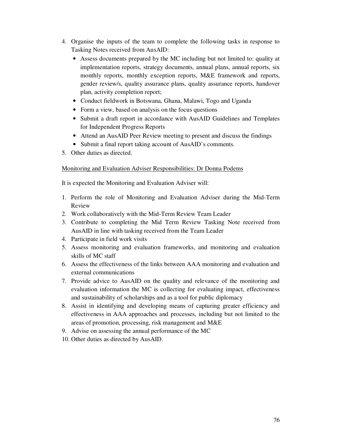- 4. Organise the inputs of the team to complete the following tasks in response to Tasking Notes received from AusAID:
	- Assess documents prepared by the MC including but not limited to: quality at implementation reports, strategy documents, annual plans, annual reports, six monthly reports, monthly exception reports, M&E framework and reports, gender review/s, quality assurance plans, quality assurance reports, handover plan, activity completion report;
	- Conduct fieldwork in Botswana, Ghana, Malawi, Togo and Uganda
	- Form a view, based on analysis on the focus questions
	- Submit a draft report in accordance with AusAID Guidelines and Templates for Independent Progress Reports
	- Attend an AusAID Peer Review meeting to present and discuss the findings
	- Submit a final report taking account of AusAID's comments.
- 5. Other duties as directed.

#### Monitoring and Evaluation Adviser Responsibilities: Dr Donna Podems

It is expected the Monitoring and Evaluation Adviser will:

- 1. Perform the role of Monitoring and Evaluation Adviser during the Mid-Term Review
- 2. Work collaboratively with the Mid-Term Review Team Leader
- 3. Contribute to completing the Mid Term Review Tasking Note received from AusAID in line with tasking received from the Team Leader
- 4. Participate in field work visits
- 5. Assess monitoring and evaluation frameworks, and monitoring and evaluation skills of MC staff
- 6. Assess the effectiveness of the links between AAA monitoring and evaluation and external communications
- 7. Provide advice to AusAID on the quality and relevance of the monitoring and evaluation information the MC is collecting for evaluating impact, effectiveness and sustainability of scholarships and as a tool for public diplomacy
- 8. Assist in identifying and developing means of capturing greater efficiency and effectiveness in AAA approaches and processes, including but not limited to the areas of promotion, processing, risk management and M&E
- 9. Advise on assessing the annual performance of the MC
- 10. Other duties as directed by AusAID.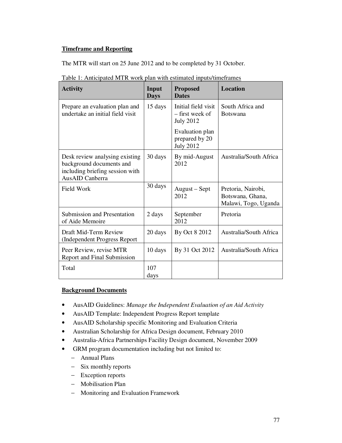# **Timeframe and Reporting**

The MTR will start on 25 June 2012 and to be completed by 31 October.

| <b>Activity</b>                                                                                                  | Input<br><b>Days</b> | <b>Proposed</b><br><b>Dates</b>                            | <b>Location</b>                                                |
|------------------------------------------------------------------------------------------------------------------|----------------------|------------------------------------------------------------|----------------------------------------------------------------|
| Prepare an evaluation plan and<br>undertake an initial field visit                                               | 15 days              | Initial field visit<br>– first week of<br><b>July 2012</b> | South Africa and<br><b>Botswana</b>                            |
|                                                                                                                  |                      | Evaluation plan<br>prepared by 20<br><b>July 2012</b>      |                                                                |
| Desk review analysing existing<br>background documents and<br>including briefing session with<br>AusAID Canberra | 30 days              | By mid-August<br>2012                                      | Australia/South Africa                                         |
| Field Work                                                                                                       | 30 days              | August – Sept<br>2012                                      | Pretoria, Nairobi,<br>Botswana, Ghana,<br>Malawi, Togo, Uganda |
| <b>Submission and Presentation</b><br>of Aide Memoire                                                            | 2 days               | September<br>2012                                          | Pretoria                                                       |
| Draft Mid-Term Review<br>(Independent Progress Report                                                            | 20 days              | By Oct 8 2012                                              | Australia/South Africa                                         |
| Peer Review, revise MTR<br>Report and Final Submission                                                           | 10 days              | By 31 Oct 2012                                             | <b>Australia/South Africa</b>                                  |
| Total                                                                                                            | 107<br>days          |                                                            |                                                                |

Table 1: Anticipated MTR work plan with estimated inputs/timeframes

# **Background Documents**

- AusAID Guidelines: *Manage the Independent Evaluation of an Aid Activity*
- AusAID Template: Independent Progress Report template
- AusAID Scholarship specific Monitoring and Evaluation Criteria
- Australian Scholarship for Africa Design document, February 2010
- Australia-Africa Partnerships Facility Design document, November 2009
- GRM program documentation including but not limited to:
	- − Annual Plans
	- − Six monthly reports
	- − Exception reports
	- − Mobilisation Plan
	- − Monitoring and Evaluation Framework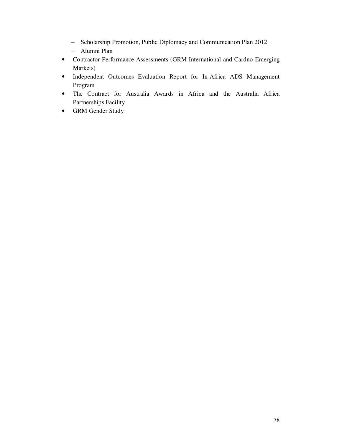- − Scholarship Promotion, Public Diplomacy and Communication Plan 2012
- − Alumni Plan
- Contractor Performance Assessments (GRM International and Cardno Emerging Markets)
- Independent Outcomes Evaluation Report for In-Africa ADS Management Program
- The Contract for Australia Awards in Africa and the Australia Africa Partnerships Facility
- GRM Gender Study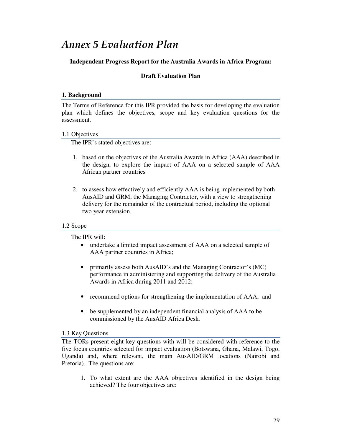# *Annex 5 Evaluation Plan*

# **Independent Progress Report for the Australia Awards in Africa Program:**

# **Draft Evaluation Plan**

#### **1. Background**

The Terms of Reference for this IPR provided the basis for developing the evaluation plan which defines the objectives, scope and key evaluation questions for the assessment.

## 1.1 Objectives

The IPR's stated objectives are:

- 1. based on the objectives of the Australia Awards in Africa (AAA) described in the design, to explore the impact of AAA on a selected sample of AAA African partner countries
- 2. to assess how effectively and efficiently AAA is being implemented by both AusAID and GRM, the Managing Contractor, with a view to strengthening delivery for the remainder of the contractual period, including the optional two year extension.

## 1.2 Scope

The IPR will:

- undertake a limited impact assessment of AAA on a selected sample of AAA partner countries in Africa;
- primarily assess both AusAID's and the Managing Contractor's (MC) performance in administering and supporting the delivery of the Australia Awards in Africa during 2011 and 2012;
- recommend options for strengthening the implementation of AAA; and
- be supplemented by an independent financial analysis of AAA to be commissioned by the AusAID Africa Desk.

## 1.3 Key Questions

The TORs present eight key questions with will be considered with reference to the five focus countries selected for impact evaluation (Botswana, Ghana, Malawi, Togo, Uganda) and, where relevant, the main AusAID/GRM locations (Nairobi and Pretoria).. The questions are:

1. To what extent are the AAA objectives identified in the design being achieved? The four objectives are: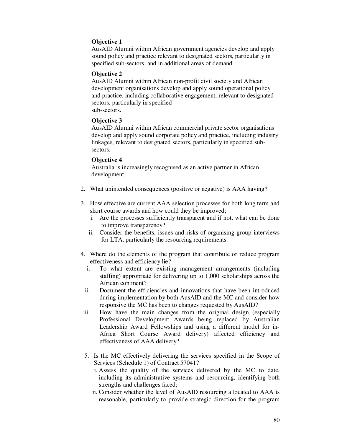# **Objective 1**

AusAID Alumni within African government agencies develop and apply sound policy and practice relevant to designated sectors, particularly in specified sub-sectors, and in additional areas of demand.

#### **Objective 2**

AusAID Alumni within African non-profit civil society and African development organisations develop and apply sound operational policy and practice, including collaborative engagement, relevant to designated sectors, particularly in specified sub-sectors.

#### **Objective 3**

AusAID Alumni within African commercial private sector organisations develop and apply sound corporate policy and practice, including industry linkages, relevant to designated sectors, particularly in specified subsectors.

#### **Objective 4**

Australia is increasingly recognised as an active partner in African development.

- 2. What unintended consequences (positive or negative) is AAA having?
- 3. How effective are current AAA selection processes for both long term and short course awards and how could they be improved;
	- i. Are the processes sufficiently transparent and if not, what can be done to improve transparency?
	- ii. Consider the benefits, issues and risks of organising group interviews for LTA, particularly the resourcing requirements.
- 4. Where do the elements of the program that contribute or reduce program effectiveness and efficiency lie?
	- i. To what extent are existing management arrangements (including staffing) appropriate for delivering up to 1,000 scholarships across the African continent?
	- ii. Document the efficiencies and innovations that have been introduced during implementation by both AusAID and the MC and consider how responsive the MC has been to changes requested by AusAID?
- iii. How have the main changes from the original design (especially Professional Development Awards being replaced by Australian Leadership Award Fellowships and using a different model for in-Africa Short Course Award delivery) affected efficiency and effectiveness of AAA delivery?
- 5. Is the MC effectively delivering the services specified in the Scope of Services (Schedule 1) of Contract 57041?
	- i. Assess the quality of the services delivered by the MC to date, including its administrative systems and resourcing, identifying both strengths and challenges faced;
	- ii. Consider whether the level of AusAID resourcing allocated to AAA is reasonable, particularly to provide strategic direction for the program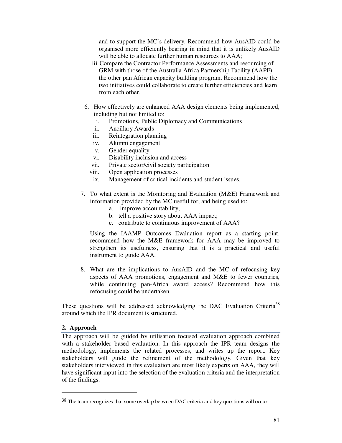and to support the MC's delivery. Recommend how AusAID could be organised more efficiently bearing in mind that it is unlikely AusAID will be able to allocate further human resources to AAA;

- iii.Compare the Contractor Performance Assessments and resourcing of GRM with those of the Australia Africa Partnership Facility (AAPF), the other pan African capacity building program. Recommend how the two initiatives could collaborate to create further efficiencies and learn from each other.
- 6. How effectively are enhanced AAA design elements being implemented, including but not limited to:
	- i. Promotions, Public Diplomacy and Communications
	- ii. Ancillary Awards
	- iii. Reintegration planning
	- iv. Alumni engagement
	- v. Gender equality
	- vi. Disability inclusion and access
	- vii. Private sector/civil society participation
	- viii. Open application processes
	- ix. Management of critical incidents and student issues.
- 7. To what extent is the Monitoring and Evaluation (M&E) Framework and information provided by the MC useful for, and being used to:
	- a. improve accountability;
	- b. tell a positive story about AAA impact;
	- c. contribute to continuous improvement of AAA?

Using the IAAMP Outcomes Evaluation report as a starting point, recommend how the M&E framework for AAA may be improved to strengthen its usefulness, ensuring that it is a practical and useful instrument to guide AAA.

8. What are the implications to AusAID and the MC of refocusing key aspects of AAA promotions, engagement and M&E to fewer countries, while continuing pan-Africa award access? Recommend how this refocusing could be undertaken.

These questions will be addressed acknowledging the DAC Evaluation Criteria<sup>38</sup> around which the IPR document is structured.

#### **2. Approach**

 $\overline{a}$ 

The approach will be guided by utilisation focused evaluation approach combined with a stakeholder based evaluation. In this approach the IPR team designs the methodology, implements the related processes, and writes up the report. Key stakeholders will guide the refinement of the methodology. Given that key stakeholders interviewed in this evaluation are most likely experts on AAA, they will have significant input into the selection of the evaluation criteria and the interpretation of the findings.

<sup>&</sup>lt;sup>38</sup> The team recognizes that some overlap between DAC criteria and key questions will occur.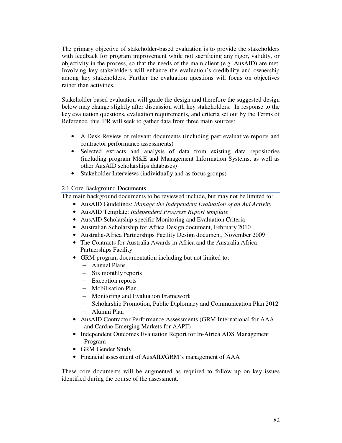The primary objective of stakeholder-based evaluation is to provide the stakeholders with feedback for program improvement while not sacrificing any rigor, validity, or objectivity in the process, so that the needs of the main client  $(e.g., AusAID)$  are met. Involving key stakeholders will enhance the evaluation's credibility and ownership among key stakeholders. Further the evaluation questions will focus on objectives rather than activities.

Stakeholder based evaluation will guide the design and therefore the suggested design below may change slightly after discussion with key stakeholders. In response to the key evaluation questions, evaluation requirements, and criteria set out by the Terms of Reference, this IPR will seek to gather data from three main sources:

- A Desk Review of relevant documents (including past evaluative reports and contractor performance assessments)
- Selected extracts and analysis of data from existing data repositories (including program M&E and Management Information Systems, as well as other AusAID scholarships databases)
- Stakeholder Interviews (individually and as focus groups)

# 2.1 Core Background Documents

The main background documents to be reviewed include, but may not be limited to:

- AusAID Guidelines: *Manage the Independent Evaluation of an Aid Activity*
- AusAID Template: *Independent Progress Report template*
- AusAID Scholarship specific Monitoring and Evaluation Criteria
- Australian Scholarship for Africa Design document, February 2010
- Australia-Africa Partnerships Facility Design document, November 2009
- The Contracts for Australia Awards in Africa and the Australia Africa Partnerships Facility
- GRM program documentation including but not limited to:
	- − Annual Plans
	- − Six monthly reports
	- − Exception reports
	- − Mobilisation Plan
	- − Monitoring and Evaluation Framework
	- − Scholarship Promotion, Public Diplomacy and Communication Plan 2012
	- − Alumni Plan
- AusAID Contractor Performance Assessments (GRM International for AAA and Cardno Emerging Markets for AAPF)
- Independent Outcomes Evaluation Report for In-Africa ADS Management Program
- GRM Gender Study
- Financial assessment of AusAID/GRM's management of AAA

These core documents will be augmented as required to follow up on key issues identified during the course of the assessment.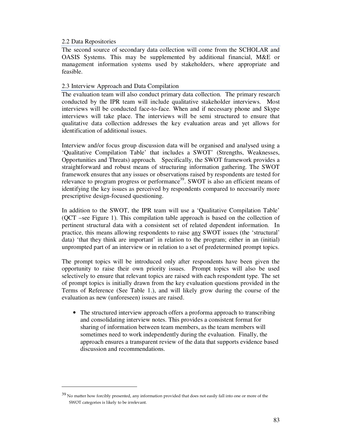#### 2.2 Data Repositories

 $\overline{a}$ 

The second source of secondary data collection will come from the SCHOLAR and OASIS Systems. This may be supplemented by additional financial, M&E or management information systems used by stakeholders, where appropriate and feasible.

## 2.3 Interview Approach and Data Compilation

The evaluation team will also conduct primary data collection. The primary research conducted by the IPR team will include qualitative stakeholder interviews. Most interviews will be conducted face-to-face. When and if necessary phone and Skype interviews will take place. The interviews will be semi structured to ensure that qualitative data collection addresses the key evaluation areas and yet allows for identification of additional issues.

Interview and/or focus group discussion data will be organised and analysed using a 'Qualitative Compilation Table' that includes a SWOT' (Strengths, Weaknesses, Opportunities and Threats) approach. Specifically, the SWOT framework provides a straightforward and robust means of structuring information gathering. The SWOT framework ensures that any issues or observations raised by respondents are tested for relevance to program progress or performance<sup>39</sup>. SWOT is also an efficient means of identifying the key issues as perceived by respondents compared to necessarily more prescriptive design-focused questioning.

In addition to the SWOT, the IPR team will use a 'Qualitative Compilation Table' (QCT –see Figure 1). This compilation table approach is based on the collection of pertinent structural data with a consistent set of related dependent information. In practice, this means allowing respondents to raise any SWOT issues (the 'structural' data) 'that they think are important' in relation to the program; either in an (initial) unprompted part of an interview or in relation to a set of predetermined prompt topics.

The prompt topics will be introduced only after respondents have been given the opportunity to raise their own priority issues. Prompt topics will also be used selectively to ensure that relevant topics are raised with each respondent type. The set of prompt topics is initially drawn from the key evaluation questions provided in the Terms of Reference (See Table 1.), and will likely grow during the course of the evaluation as new (unforeseen) issues are raised.

• The structured interview approach offers a proforma approach to transcribing and consolidating interview notes. This provides a consistent format for sharing of information between team members, as the team members will sometimes need to work independently during the evaluation. Finally, the approach ensures a transparent review of the data that supports evidence based discussion and recommendations.

 $39$  No matter how forcibly presented, any information provided that does not easily fall into one or more of the SWOT categories is likely to be irrelevant.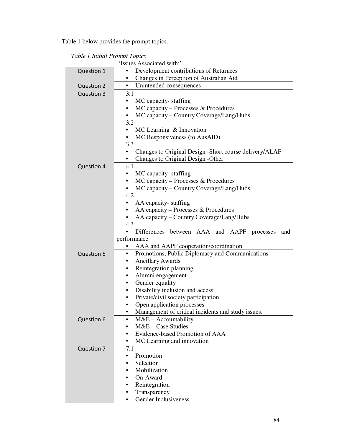Table 1 below provides the prompt topics.

| Table 1 Initial Prompt Topics |  |  |  |
|-------------------------------|--|--|--|
|-------------------------------|--|--|--|

| 'Issues Associated with:' |                                                              |  |  |  |  |  |  |
|---------------------------|--------------------------------------------------------------|--|--|--|--|--|--|
| Question 1                | Development contributions of Returnees                       |  |  |  |  |  |  |
|                           | Changes in Perception of Australian Aid                      |  |  |  |  |  |  |
| <b>Question 2</b>         | Unintended consequences<br>$\bullet$                         |  |  |  |  |  |  |
| <b>Question 3</b>         | 3.1                                                          |  |  |  |  |  |  |
|                           | MC capacity-staffing<br>$\bullet$                            |  |  |  |  |  |  |
|                           | $MC$ capacity – Processes & Procedures<br>٠                  |  |  |  |  |  |  |
|                           | MC capacity – Country Coverage/Lang/Hubs<br>٠                |  |  |  |  |  |  |
|                           | 3.2                                                          |  |  |  |  |  |  |
|                           | MC Learning $\&$ Innovation<br>$\bullet$                     |  |  |  |  |  |  |
|                           | MC Responsiveness (to AusAID)<br>٠                           |  |  |  |  |  |  |
|                           | 3.3                                                          |  |  |  |  |  |  |
|                           | Changes to Original Design - Short course delivery/ALAF<br>٠ |  |  |  |  |  |  |
|                           | Changes to Original Design - Other                           |  |  |  |  |  |  |
| <b>Question 4</b>         | 4.1                                                          |  |  |  |  |  |  |
|                           | MC capacity-staffing<br>٠                                    |  |  |  |  |  |  |
|                           | MC capacity - Processes & Procedures<br>٠                    |  |  |  |  |  |  |
|                           | MC capacity – Country Coverage/Lang/Hubs                     |  |  |  |  |  |  |
|                           | 4.2                                                          |  |  |  |  |  |  |
|                           | AA capacity-staffing<br>٠                                    |  |  |  |  |  |  |
|                           | AA capacity – Processes & Procedures<br>$\bullet$            |  |  |  |  |  |  |
|                           | AA capacity – Country Coverage/Lang/Hubs                     |  |  |  |  |  |  |
|                           | 4.3                                                          |  |  |  |  |  |  |
|                           | Differences between AAA and AAPF processes<br>and            |  |  |  |  |  |  |
|                           | performance                                                  |  |  |  |  |  |  |
|                           | AAA and AAPF cooperation/coordination                        |  |  |  |  |  |  |
| <b>Question 5</b>         | Promotions, Public Diplomacy and Communications<br>٠         |  |  |  |  |  |  |
|                           | <b>Ancillary Awards</b><br>٠                                 |  |  |  |  |  |  |
|                           | Reintegration planning<br>$\bullet$                          |  |  |  |  |  |  |
|                           | Alumni engagement<br>$\bullet$                               |  |  |  |  |  |  |
|                           | Gender equality<br>٠                                         |  |  |  |  |  |  |
|                           | Disability inclusion and access<br>٠                         |  |  |  |  |  |  |
|                           | Private/civil society participation<br>$\bullet$             |  |  |  |  |  |  |
|                           | Open application processes<br>٠                              |  |  |  |  |  |  |
|                           | Management of critical incidents and study issues.           |  |  |  |  |  |  |
| Question 6                | M&E - Accountability<br>$\bullet$                            |  |  |  |  |  |  |
|                           | $M&E$ – Case Studies<br>$\bullet$                            |  |  |  |  |  |  |
|                           | Evidence-based Promotion of AAA                              |  |  |  |  |  |  |
|                           | MC Learning and innovation<br>٠                              |  |  |  |  |  |  |
| Question 7                | 7.1<br>Promotion                                             |  |  |  |  |  |  |
|                           | Selection                                                    |  |  |  |  |  |  |
|                           | Mobilization                                                 |  |  |  |  |  |  |
|                           | On-Award                                                     |  |  |  |  |  |  |
|                           | Reintegration                                                |  |  |  |  |  |  |
|                           | Transparency<br>٠                                            |  |  |  |  |  |  |
|                           |                                                              |  |  |  |  |  |  |
|                           | Gender Inclusiveness<br>٠                                    |  |  |  |  |  |  |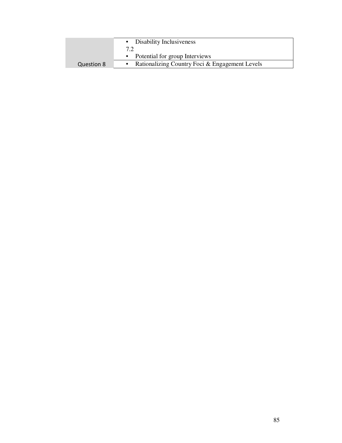|            | • Disability Inclusiveness                     |  |  |
|------------|------------------------------------------------|--|--|
|            |                                                |  |  |
|            | Potential for group Interviews                 |  |  |
| Question 8 | Rationalizing Country Foci & Engagement Levels |  |  |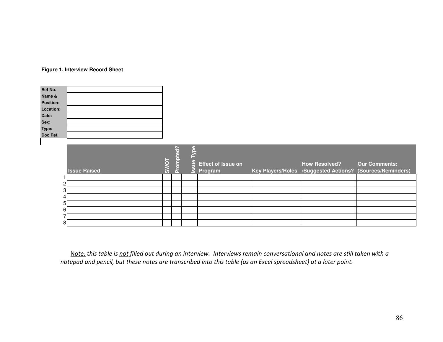# **Figure 1. Interview Record Sheet**

| Ref No.           |  |
|-------------------|--|
| Name &            |  |
| <b>Position:</b>  |  |
| Location:         |  |
| Date:             |  |
| Sex:              |  |
| Type:<br>Doc Ref. |  |
|                   |  |
|                   |  |

|                | <b>Issue Raised</b> | 5<br><b>SW</b> | n | r.<br>$\frac{6}{1}$<br>$\frac{6}{3}$ | <b>Effect of Issue on</b><br>Program | <b>How Resolved?</b><br>Key Players/Roles /Suggested Actions? (Sources/Reminders) | <b>Our Comments:</b> |
|----------------|---------------------|----------------|---|--------------------------------------|--------------------------------------|-----------------------------------------------------------------------------------|----------------------|
|                |                     |                |   |                                      |                                      |                                                                                   |                      |
| $\mathbf{2}$   |                     |                |   |                                      |                                      |                                                                                   |                      |
| $3 \mid$       |                     |                |   |                                      |                                      |                                                                                   |                      |
| 4              |                     |                |   |                                      |                                      |                                                                                   |                      |
| 5 <sub>l</sub> |                     |                |   |                                      |                                      |                                                                                   |                      |
| $6 \,$         |                     |                |   |                                      |                                      |                                                                                   |                      |
| ⇁              |                     |                |   |                                      |                                      |                                                                                   |                      |
| 8              |                     |                |   |                                      |                                      |                                                                                   |                      |

N*ote: this table is not filled out during an interview. Interviews remain conversational and notes are still taken with a notepad and pencil, but these notes are transcribed into this table (as an Excel spreadsheet) at a later point.*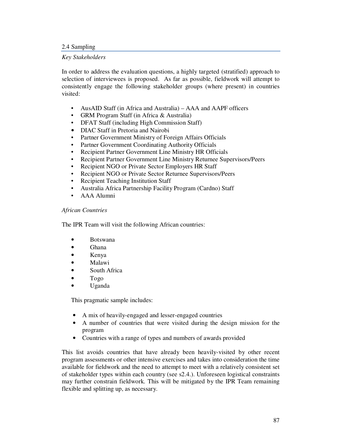#### 2.4 Sampling

#### *Key Stakeholders*

In order to address the evaluation questions, a highly targeted (stratified) approach to selection of interviewees is proposed. As far as possible, fieldwork will attempt to consistently engage the following stakeholder groups (where present) in countries visited:

- AusAID Staff (in Africa and Australia) AAA and AAPF officers
- GRM Program Staff (in Africa & Australia)
- DFAT Staff (including High Commission Staff)
- DIAC Staff in Pretoria and Nairobi
- Partner Government Ministry of Foreign Affairs Officials
- Partner Government Coordinating Authority Officials
- Recipient Partner Government Line Ministry HR Officials
- Recipient Partner Government Line Ministry Returnee Supervisors/Peers
- Recipient NGO or Private Sector Employers HR Staff
- Recipient NGO or Private Sector Returnee Supervisors/Peers
- Recipient Teaching Institution Staff
- Australia Africa Partnership Facility Program (Cardno) Staff
- AAA Alumni

## *African Countries*

The IPR Team will visit the following African countries:

- Botswana
- Ghana
- Kenya
- Malawi
- South Africa
- Togo
- Uganda

This pragmatic sample includes:

- A mix of heavily-engaged and lesser-engaged countries
- A number of countries that were visited during the design mission for the program
- Countries with a range of types and numbers of awards provided

This list avoids countries that have already been heavily-visited by other recent program assessments or other intensive exercises and takes into consideration the time available for fieldwork and the need to attempt to meet with a relatively consistent set of stakeholder types within each country (see s2.4.). Unforeseen logistical constraints may further constrain fieldwork. This will be mitigated by the IPR Team remaining flexible and splitting up, as necessary.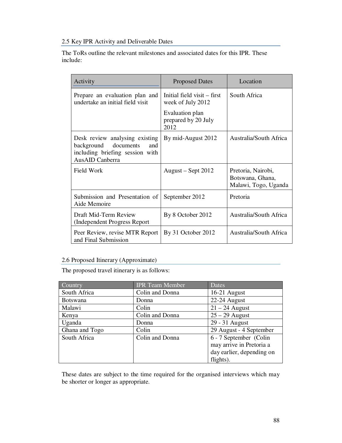2.5 Key IPR Activity and Deliverable Dates

The ToRs outline the relevant milestones and associated dates for this IPR. These include:

| Activity                                                                                                            | <b>Proposed Dates</b>                            | Location                                                       |
|---------------------------------------------------------------------------------------------------------------------|--------------------------------------------------|----------------------------------------------------------------|
| Prepare an evaluation plan and<br>undertake an initial field visit                                                  | Initial field visit – first<br>week of July 2012 | South Africa                                                   |
|                                                                                                                     | Evaluation plan<br>prepared by 20 July<br>2012   |                                                                |
| Desk review analysing existing<br>background documents<br>and<br>including briefing session with<br>AusAID Canberra | By mid-August 2012                               | Australia/South Africa                                         |
| Field Work                                                                                                          | August – Sept 2012                               | Pretoria, Nairobi,<br>Botswana, Ghana,<br>Malawi, Togo, Uganda |
| Submission and Presentation of<br>Aide Memoire                                                                      | September 2012                                   | Pretoria                                                       |
| Draft Mid-Term Review<br>(Independent Progress Report)                                                              | By 8 October 2012                                | <b>Australia/South Africa</b>                                  |
| Peer Review, revise MTR Report<br>and Final Submission                                                              | By 31 October 2012                               | <b>Australia/South Africa</b>                                  |

# 2.6 Proposed Itinerary (Approximate)

The proposed travel itinerary is as follows:

| Country         | <b>IPR</b> Team Member | Dates                     |
|-----------------|------------------------|---------------------------|
| South Africa    | Colin and Donna        | $16-21$ August            |
| <b>Botswana</b> | Donna                  | 22-24 August              |
| Malawi          | Colin                  | $21 - 24$ August          |
| Kenya           | Colin and Donna        | $25 - 29$ August          |
| Uganda          | Donna                  | 29 - 31 August            |
| Ghana and Togo  | Colin                  | 29 August - 4 September   |
| South Africa    | Colin and Donna        | 6 - 7 September (Colin    |
|                 |                        | may arrive in Pretoria a  |
|                 |                        | day earlier, depending on |
|                 |                        | flights).                 |

These dates are subject to the time required for the organised interviews which may be shorter or longer as appropriate.